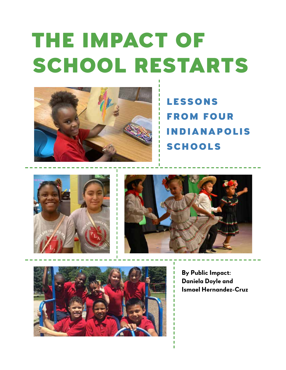# The Impact of SCHOOL RESTARTS



**LESSONS** from Four Indianapolis **SCHOOLS** 







**By Public Impact: Daniela Doyle and Ismael Hernandez-Cruz**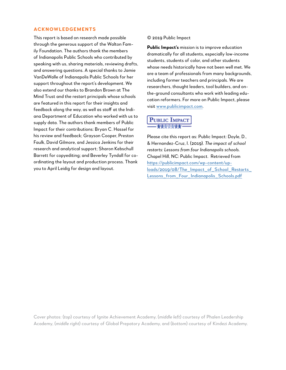#### **Acknowledgements**

This report is based on research made possible through the generous support of the Walton Family Foundation. The authors thank the members of Indianapolis Public Schools who contributed by speaking with us, sharing materials, reviewing drafts, and answering questions. A special thanks to Jamie VanDeWalle of Indianapolis Public Schools for her support throughout the report's development. We also extend our thanks to Brandon Brown at The Mind Trust and the restart principals whose schools are featured in this report for their insights and feedback along the way, as well as staff at the Indiana Department of Education who worked with us to supply data. The authors thank members of Public Impact for their contributions: Bryan C. Hassel for his review and feedback; Grayson Cooper, Preston Faulk, David Gilmore, and Jessica Jenkins for their research and analytical support; Sharon Kebschull Barrett for copyediting; and Beverley Tyndall for coordinating the layout and production process. Thank you to April Leidig for design and layout.

© 2019 Public Impact

**Public Impact's** mission is to improve education dramatically for all students, especially low-income students, students of color, and other students whose needs historically have not been well met. We are a team of professionals from many backgrounds, including former teachers and principals. We are researchers, thought leaders, tool builders, and onthe-ground consultants who work with leading education reformers. For more on Public Impact, please visit [www.publicimpact.com](http://www.publicimpact.com).

# **PUBLIC IMPACT**

Please cite this report as: Public Impact: Doyle, D., & Hernandez-Cruz, I. (2019). *The impact of school restarts: Lessons from four Indianapolis schools.* Chapel Hill, NC: Public Impact. Retrieved from https://publicimpact.com/wp-content/up[loads/2019/08/The\\_Impact\\_of\\_School\\_Restarts\\_](https://publicimpact.com/wp-content/uploads/2019/08/The_Impact_of_School_Restarts_Lessons_from_Four_Indianapolis_Schools.pdf) Lessons\_from\_Four\_Indianapolis\_Schools.pdf

Cover photos: (*top*) courtesy of Ignite Achievement Academy, (*middle left*) courtesy of Phalen Leadership Academy, (*middle right*) courtesy of Global Prepatory Academy, and (*bottom*) courtesy of Kindezi Academy.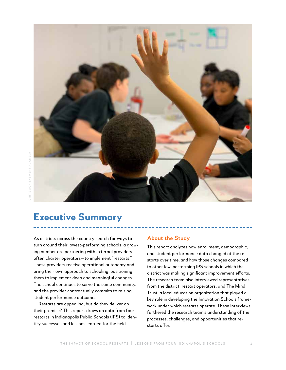

# **Executive Summary**

As districts across the country search for ways to turn around their lowest-performing schools, a growing number are partnering with external providers often charter operators—to implement "restarts." These providers receive operational autonomy and bring their own approach to schooling, positioning them to implement deep and meaningful changes. The school continues to serve the same community, and the provider contractually commits to raising student performance outcomes.

Restarts are appealing, but do they deliver on their promise? This report draws on data from four restarts in Indianapolis Public Schools (IPS) to identify successes and lessons learned for the field.

#### **About the Study**

This report analyzes how enrollment, demographic, and student performance data changed at the restarts over time, and how those changes compared to other low-performing IPS schools in which the district was making significant improvement efforts. The research team also interviewed representatives from the district, restart operators, and The Mind Trust, a local education organization that played a key role in developing the Innovation Schools framework under which restarts operate. These interviews furthered the research team's understanding of the processes, challenges, and opportunities that restarts offer.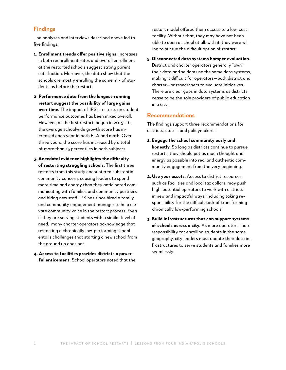#### **Findings**

The analyses and interviews described above led to five findings:

- **1. Enrollment trends offer positive signs.** Increases in both reenrollment rates and overall enrollment at the restarted schools suggest strong parent satisfaction. Moreover, the data show that the schools are mostly enrolling the same mix of students as before the restart.
- **2. Performance data from the longest-running restart suggest the possibility of large gains over time.** The impact of IPS's restarts on student performance outcomes has been mixed overall. However, at the first restart, begun in 2015–16, the average schoolwide growth score has increased each year in both ELA and math. Over three years, the score has increased by a total of more than 15 percentiles in both subjects.
- **3. Anecdotal evidence highlights the difficulty of restarting struggling schools.** The first three restarts from this study encountered substantial community concern, causing leaders to spend more time and energy than they anticipated communicating with families and community partners and hiring new staff. IPS has since hired a family and community engagement manager to help elevate community voice in the restart process. Even if they are serving students with a similar level of need, many charter operators acknowledge that restarting a chronically low-performing school entails challenges that starting a new school from the ground up does not.
- **4. Access to facilities provides districts a powerful enticement.** School operators noted that the

restart model offered them access to a low-cost facility. Without that, they may have not been able to open a school at all; with it, they were willing to pursue the difficult option of restart.

**5. Disconnected data systems hamper evaluation.**  District and charter operators generally "own" their data and seldom use the same data systems, making it difficult for operators—both district and charter—or researchers to evaluate initiatives. There are clear gaps in data systems as districts cease to be the sole providers of public education in a city.

#### **Recommendations**

The findings support three recommendations for districts, states, and policymakers:

- **1. Engage the school community early and honestly.** So long as districts continue to pursue restarts, they should put as much thought and energy as possible into real and authentic community engagement from the very beginning.
- **2. Use your assets.** Access to district resources, such as facilities and local tax dollars, may push high-potential operators to work with districts in new and impactful ways, including taking responsibility for the difficult task of transforming chronically low-performing schools.
- **3. Build infrastructures that can support** *systems*  **of schools across a city.** As more operators share responsibility for enrolling students in the same geography, city leaders must update their data infrastructures to serve students and families more seamlessly.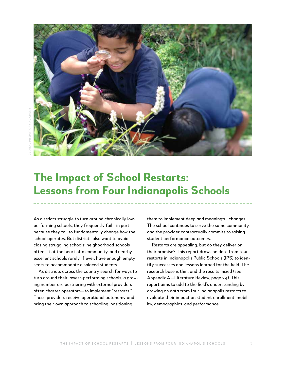

# **The Impact of School Restarts: Lessons from Four Indianapolis Schools**

As districts struggle to turn around chronically lowperforming schools, they frequently fail—in part because they fail to fundamentally change how the school operates. But districts also want to avoid closing struggling schools; neighborhood schools often sit at the heart of a community, and nearby excellent schools rarely, if ever, have enough empty seats to accommodate displaced students.

As districts across the country search for ways to turn around their lowest-performing schools, a growing number are partnering with external providers often charter operators—to implement "restarts." These providers receive operational autonomy and bring their own approach to schooling, positioning

them to implement deep and meaningful changes. The school continues to serve the same community, and the provider contractually commits to raising student performance outcomes.

Restarts are appealing, but do they deliver on their promise? This report draws on data from four restarts in Indianapolis Public Schools (IPS) to identify successes and lessons learned for the field. The research base is thin, and the results mixed (see Appendix A—Literature Review, page 24). This report aims to add to the field's understanding by drawing on data from four Indianapolis restarts to evaluate their impact on student enrollment, mobility, demographics, and performance.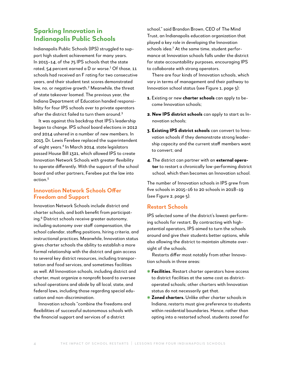# **Sparking Innovation in Indianapolis Public Schools**

Indianapolis Public Schools (IPS) struggled to support high student achievement for many years. In 2013–14, of the 75 IPS schools that the state rated, 54 percent earned a D or worse. $^1$  Of those, 11  $\,$ schools had received an F rating for two consecutive years, and their student test scores demonstrated low, no, or negative growth.<sup>2</sup> Meanwhile, the threat of state takeover loomed. The previous year, the Indiana Department of Education handed responsibility for four IPS schools over to private operators after the district failed to turn them around.<sup>3</sup>

It was against this backdrop that IPS's leadership began to change. IPS school board elections in 2012 and 2014 ushered in a number of new members. In 2013, Dr. Lewis Ferebee replaced the superintendent of eight years.4 In March 2014, state legislators passed House Bill 1321, which allowed IPS to create Innovation Network Schools with greater flexibility to operate differently. With the support of the school board and other partners, Ferebee put the law into action.5

#### **Innovation Network Schools Offer Freedom and Support**

Innovation Network Schools include district and charter schools, and both benefit from participating.<sup>6</sup> District schools receive greater autonomy, including autonomy over staff compensation, the school calendar, staffing positions, hiring criteria, and instructional practices. Meanwhile, Innovation status gives charter schools the ability to establish a more formal relationship with the district and gain access to several key district resources, including transportation and food services, and sometimes facilities as well. All Innovation schools, including district and charter, must organize a nonprofit board to oversee school operations and abide by all local, state, and federal laws, including those regarding special education and non-discrimination.

Innovation schools "combine the freedoms and flexibilities of successful autonomous schools with the financial support and services of a district

school," said Brandon Brown, CEO of The Mind Trust, an Indianapolis education organization that played a key role in developing the Innovation schools idea.<sup>7</sup> At the same time, student performance at Innovation schools falls under the district for state accountability purposes, encouraging IPS to collaborate with strong operators.

There are four kinds of Innovation schools, which vary in terms of management and their pathway to Innovation school status (see Figure 1, page 5):

- **1.** Existing or new **charter schools** can apply to become Innovation schools;
- **2. New IPS district schools** can apply to start as Innovation schools;
- **3. Existing IPS district schools** can convert to Innovation schools if they demonstrate strong leadership capacity and the current staff members want to convert; and
- **4.** The district can partner with an **external operator** to restart a chronically low-performing district school, which then becomes an Innovation school.

The number of Innovation schools in IPS grew from five schools in 2015–16 to 20 schools in 2018–19 (see Figure 2, page 5).

#### **Restart Schools**

IPS selected some of the district's lowest-performing schools for restart. By contracting with highpotential operators, IPS aimed to turn the schools around and give their students better options, while also allowing the district to maintain ultimate oversight of the schools.

Restarts differ most notably from other Innovation schools in three areas:

- ✱ **Facilities.** Restart charter operators have access to district facilities at the same cost as districtoperated schools; other charters with Innovation status do not necessarily get that.
- ✱ **Zoned charters.** Unlike other charter schools in Indiana, restarts must give preference to students within residential boundaries. Hence, rather than opting into a restarted school, students zoned for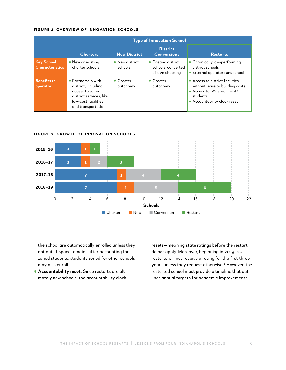#### **Figure 1. Overview of Innovation Schools**

|                                             |                                                                                                                                     |                           | <b>Type of Innovation School</b>                             |                                                                                                                                               |  |
|---------------------------------------------|-------------------------------------------------------------------------------------------------------------------------------------|---------------------------|--------------------------------------------------------------|-----------------------------------------------------------------------------------------------------------------------------------------------|--|
|                                             | <b>Charters</b>                                                                                                                     | <b>New District</b>       | <b>District</b><br><b>Conversions</b>                        | <b>Restarts</b>                                                                                                                               |  |
| <b>Key School</b><br><b>Characteristics</b> | * New or existing<br>charter schools                                                                                                | * New district<br>schools | * Existing district<br>schools, converted<br>of own choosing | * Chronically low-performing<br>district schools<br>* External operator runs school                                                           |  |
| <b>Benefits to</b><br>operator              | * Partnership with<br>district, including<br>access to some<br>district services. like<br>low-cost facilities<br>and transportation | $*$ Greater<br>autonomy   | $*$ Greater<br>autonomy                                      | * Access to district facilities<br>without lease or building costs<br>* Access to IPS enrollment/<br>students<br>* Accountability clock reset |  |



the school are automatically enrolled unless they opt out. If space remains after accounting for zoned students, students zoned for other schools may also enroll.

✱ **Accountability reset.** Since restarts are ultimately new schools, the accountability clock

resets—meaning state ratings before the restart do not apply. Moreover, beginning in 2019–20, restarts will not receive a rating for the first three years unless they request otherwise.<sup>8</sup> However, the restarted school must provide a timeline that outlines annual targets for academic improvements.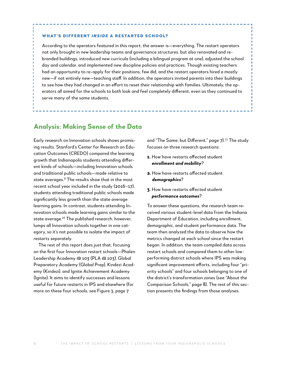#### What's Different *Inside* a Restarted School?

According to the operators featured in this report, the answer is—everything. The restart operators not only brought in new leadership teams and governance structures, but also renovated and rebranded buildings, introduced new curricula (including a bilingual program at one), adjusted the school day and calendar, and implemented new discipline policies and practices. Though existing teachers had an opportunity to re-apply for their positions, few did, and the restart operators hired a mostly new—if not entirely new—teaching staff. In addition, the operators invited parents into their buildings to see how they had changed in an effort to reset their relationship with families. Ultimately, the operators all aimed for the schools to both look and feel completely different, even as they continued to serve many of the same students.

## **Analysis: Making Sense of the Data**

Early research on Innovation schools shows promising results. Stanford's Center for Research on Education Outcomes (CREDO) compared the learning growth that Indianapolis students attending different kinds of schools—including Innovation schools and traditional public schools—made relative to state averages.9 The results show that in the most recent school year included in the study (2016–17), students attending traditional public schools made significantly less growth than the state average learning gains. In contrast, students attending Innovation schools made learning gains similar to the state average.10 The published research, however, lumps all Innovation schools together in one category, so it's not possible to isolate the impact of restarts separately.

The rest of this report does just that, focusing on the first four Innovation restart schools—Phalen Leadership Academy @ 103 (PLA @ 103), Global Preparatory Academy (Global Prep), Kindezi Academy (Kindezi), and Ignite Achievement Academy (Ignite). It aims to identify successes and lessons useful for future restarts in IPS and elsewhere (for more on these four schools, see Figure 3, page 7

and "The Same, but Different," page 7).<sup>11</sup> The study focuses on three research questions:

- **1.** How have restarts affected student *enrollment and mobility*?
- **2.** How have restarts affected student *demographics*?
- **3.** How have restarts affected student *performance outcomes*?

To answer these questions, the research team received various student-level data from the Indiana Department of Education, including enrollment, demographic, and student performance data. The team then analyzed the data to observe how the metrics changed at each school since the restart began. In addition, the team compiled data across restart schools and compared them to other lowperforming district schools where IPS was making significant improvement efforts, including four "priority schools" and four schools belonging to one of the district's transformation zones (see "About the Comparison Schools," page 8). The rest of this section presents the findings from those analyses.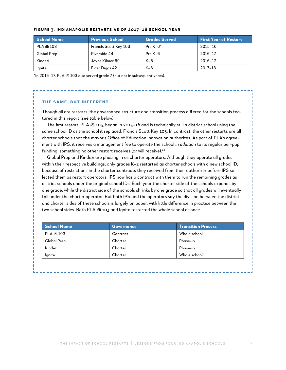| School Name | <b>Previous School</b>       | <b>Grades Served</b> | <b>First Year of Restart</b> |
|-------------|------------------------------|----------------------|------------------------------|
| PLA @ 103   | <b>Francis Scott Key 103</b> | Pre $K-6*$           | 2015-16                      |
| Global Prep | Riverside 44                 | $Pre K-6$            | 2016-17                      |
| Kindezi     | Joyce Kilmer 69              | $K-6$                | 2016-17                      |
| lgnite      | Elder Diggs 42               | $K-6$                | 2017-18                      |

#### **Figure 3. Indianapolis Restarts as of 2017–18 School Year**

\*In 2016–17, PLA @ 103 also served grade 7 (but not in subsequent years).

#### The Same, but Different

Though all are restarts, the governance structure and transition process differed for the schools featured in this report (see table below).

The first restart, PLA @ 103, began in 2015–16 and is technically still a district school using the same school ID as the school it replaced, Francis Scott Key 103. In contrast, the other restarts are all charter schools that the mayor's Office of Education Innovation authorizes. As part of PLA's agreement with IPS, it receives a management fee to operate the school *in addition* to its regular per-pupil funding, something no other restart receives (or will receive).<sup>12</sup>

Global Prep and Kindezi are phasing in as charter operators. Although they operate all grades within their respective buildings, only grades K–2 restarted as charter schools with a new school ID, because of restrictions in the charter contracts they received from their authorizer before IPS selected them as restart operators. IPS now has a contract with them to run the remaining grades as district schools under the original school IDs. Each year the charter side of the schools expands by one grade, while the district side of the schools shrinks by one grade so that all grades will eventually fall under the charter operator. But both IPS and the operators say the division between the district and charter sides of these schools is largely on paper, with little difference in practice between the two school sides. Both PLA @ 103 and Ignite restarted the whole school at once.

| School Name | <b>Governance</b> | <b>Transition Process</b> |
|-------------|-------------------|---------------------------|
| PLA @ 103   | Contract          | Whole school              |
| Global Prep | Charter           | Phase-in                  |
| Kindezi     | Charter           | Phase-in                  |
| lgnite      | Charter           | Whole school              |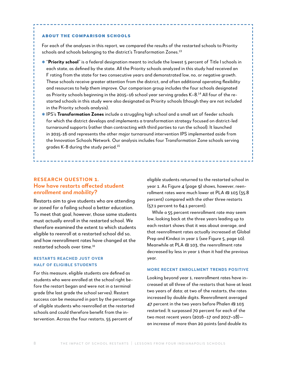#### About the Comparison Schools

For each of the analyses in this report, we compared the results of the restarted schools to Priority schools and schools belonging to the district's Transformation Zones.<sup>13</sup>

- ✱ "**Priority school**" is a federal designation meant to include the lowest 5 percent of Title I schools in each state, as defined by the state. All the Priority schools analyzed in this study had received an F rating from the state for two consecutive years and demonstrated low, no, or negative growth. These schools receive greater attention from the district, and often additional operating flexibility and resources to help them improve. Our comparison group includes the four schools designated as Priority schools beginning in the 2015–16 school year serving grades K–8.14 All four of the restarted schools in this study were also designated as Priority schools (though they are not included in the Priority schools analysis).
- ✱ IPS's **Transformation Zones** include a struggling high school and a small set of feeder schools for which the district develops and implements a transformation strategy focused on district-led turnaround supports (rather than contracting with third parties to run the school). It launched in 2015-16 and represents the other major turnaround intervention IPS implemented aside from the Innovation Schools Network. Our analysis includes four Transformation Zone schools serving grades K-8 during the study period.15

#### **Research Question 1. How have restarts affected student**  *enrollment* **and** *mobility***?**

Restarts aim to give students who are attending or zoned for a failing school a better education. To meet that goal, however, those same students must actually enroll in the restarted school. We therefore examined the extent to which students eligible to reenroll at a restarted school did so, and how reenrollment rates have changed at the restarted schools over time.16

#### **Restarts reached just over half of eligible students**

For this measure, eligible students are defined as students who were enrolled at the school right before the restart began and were not in a terminal grade (the last grade the school serves). Restart success can be measured in part by the percentage of eligible students who reenrolled at the restarted schools and could therefore benefit from the intervention. Across the four restarts, 55 percent of

eligible students returned to the restarted school in year 1. As Figure 4 (page 9) shows, however, reenrollment rates were much lower at PLA @ 103 (35.8 percent) compared with the other three restarts (57.1 percent to 64.1 percent).

While a 55 percent reenrollment rate may seem low, looking back at the three years leading up to each restart shows that it was about average, and that reenrollment rates actually increased at Global Prep and Kindezi in year 1 (see Figure 5, page 10). Meanwhile at PLA @ 103, the reenrollment rate decreased by less in year 1 than it had the previous year.

#### **More recent enrollment trends positive**

Looking beyond year 1, reenrollment rates have increased at all three of the restarts that have at least two years of data; at two of the restarts, the rates increased by double digits. Reenrollment averaged 47 percent in the two years before Phalen @ 103 restarted. It surpassed 70 percent for each of the two most recent years (2016–17 and 2017–18) an increase of more than 20 points (and double its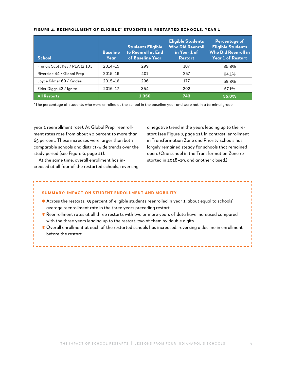| <b>School</b>                 | <b>Baseline</b><br>Year | <b>Students Eligible</b><br>to Reenroll at End<br>of Baseline Year | <b>Eligible Students</b><br><b>Who Did Reenroll</b><br>in Year 1 of<br><b>Restart</b> | <b>Percentage of</b><br><b>Eligible Students</b><br><b>Who Did Reenroll in</b><br><b>Year 1 of Restart</b> |
|-------------------------------|-------------------------|--------------------------------------------------------------------|---------------------------------------------------------------------------------------|------------------------------------------------------------------------------------------------------------|
| Francis Scott Key / PLA @ 103 | $2014 - 15$             | 299                                                                | 107                                                                                   | 35.8%                                                                                                      |
| Riverside 44 / Global Prep    | 2015-16                 | 401                                                                | 257                                                                                   | 64.1%                                                                                                      |
| Joyce Kilmer 69 / Kindezi     | 2015-16                 | 296                                                                | 177                                                                                   | 59.8%                                                                                                      |
| Elder Diggs 42 / Ignite       | 2016-17                 | 354                                                                | 202                                                                                   | 57.1%                                                                                                      |
| <b>All Restarts</b>           |                         | 1.350                                                              | 743                                                                                   | 55.0%                                                                                                      |

#### **Figure 4. Reenrollment of Eligible\* Students in Restarted Schools, Year 1**

\*The percentage of students who were enrolled at the school in the baseline year and were not in a terminal grade.

year 1 reenrollment rate). At Global Prep, reenrollment rates rose from about 50 percent to more than 65 percent. These increases were larger than both comparable schools and district-wide trends over the study period (see Figure 6, page 11).

At the same time, overall enrollment has increased at all four of the restarted schools, reversing a negative trend in the years leading up to the restart (see Figure 7, page 11). In contrast, enrollment in Transformation Zone and Priority schools has largely remained steady for schools that remained open. (One school in the Transformation Zone restarted in 2018–19, and another closed.)

#### **Summary: Impact on Student Enrollment and Mobility**

- ✱ Across the restarts, 55 percent of eligible students reenrolled in year 1, about equal to schools' average reenrollment rate in the three years preceding restart.
- ✱ Reenrollment rates at all three restarts with two or more years of data have increased compared with the three years leading up to the restart, two of them by double digits.
- $\ast$  Overall enrollment at each of the restarted schools has increased, reversing a decline in enrollment before the restart.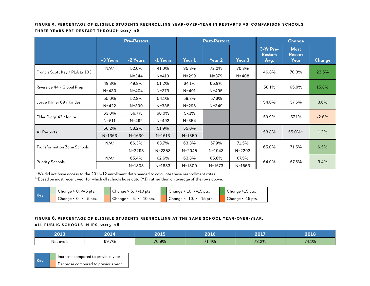#### **Figure 5. Percentage of Eligible Students Reenrolling Year-Over-Year in Restarts vs. Comparison Schools, Three Years Pre-Restart through 2017–18**

|                                    | <b>Pre-Restart</b> |            |            |            | <b>Post-Restart</b> |            | <b>Change</b>                       |                                      |               |
|------------------------------------|--------------------|------------|------------|------------|---------------------|------------|-------------------------------------|--------------------------------------|---------------|
|                                    | -3 Years           | -2 Years   | -1 Years   | Year 1     | Year 2              | Year 3     | 3-Yr Pre-<br><b>Restart</b><br>Avg. | <b>Most</b><br><b>Recent</b><br>Year | <b>Change</b> |
| Francis Scott Key / PLA @ 103      | $N/A^*$            | 52.6%      | 41.0%      | 35.8%      | 72.0%               | 70.3%      | 46.8%                               | 70.3%                                | 23.5%         |
|                                    |                    | $N = 344$  | $N = 410$  | $N = 299$  | $N = 379$           | $N = 408$  |                                     |                                      |               |
| Riverside 44 / Global Prep         | 49.3%              | 49.8%      | 51.2%      | 64.1%      | 65.9%               |            | 50.1%                               | 65.9%                                | 15.8%         |
|                                    | $N = 430$          | $N = 404$  | $N = 373$  | $N = 401$  | $N = 495$           |            |                                     |                                      |               |
|                                    | 55.0%              | 52.8%      | 54.1%      | 59.8%      | 57.6%               |            | 54.0%                               |                                      |               |
| Joyce Kilmer 69 / Kindezi          | $N = 422$          | $N = 390$  | $N = 338$  | $N = 296$  | $N = 349$           |            |                                     | 57.6%                                | 3.6%          |
|                                    | 63.0%              | 56.7%      | 60.0%      | 57.1%      |                     |            |                                     |                                      |               |
| Elder Diggs 42 / Ignite            | $N = 511$          | $N = 492$  | $N = 492$  | $N = 354$  |                     |            | 59.9%                               | 57.1%                                | $-2.8%$       |
|                                    | 56.2%              | 53.2%      | 51.9%      | 55.0%      |                     |            |                                     |                                      |               |
| <b>All Restarts</b>                | $N = 1363$         | $N = 1630$ | $N = 1613$ | $N = 1350$ |                     |            | 53.8%                               | 55.0%**                              | 1.3%          |
|                                    | $N/A^*$            | 66.3%      | 63.7%      | 63.3%      | 67.9%               | 71.5%      |                                     |                                      |               |
| <b>Transformation Zone Schools</b> |                    | $N = 2295$ | $N = 2358$ | $N = 2045$ | $N = 1943$          | $N = 2203$ | 65.0%                               | 71.5%                                | 6.5%          |
|                                    | $N/A^*$            | 65.4%      | 62.6%      | 63.8%      | 65.8%               | 67.5%      |                                     |                                      |               |
| <b>Priority Schools</b>            |                    | $N = 1808$ | $N = 1883$ | $N = 1800$ | $N = 1673$          | $N = 1653$ | 64.0%                               | 67.5%                                | 3.4%          |

\*We did not have access to the 2011–12 enrollment data needed to calculate these reenrollment rates.

\*\*Based on most recent year for which all schools have data (Y1), rather than an average of the rows above.

| Key | $\sqrt{2}$ Change > 0, <=5 pts. |  | Change $> 5, \le 10$ pts.     |  | Change $> 10$ , $\le$ =15 pts. |  | Change >15 pts.     |  |
|-----|---------------------------------|--|-------------------------------|--|--------------------------------|--|---------------------|--|
|     | Change $< 0$ , $>= -5$ pts.     |  | Change $< -5$ , $>= -10$ pts. |  | Change < -10, >=-15 pts.       |  | Change $<$ -15 pts. |  |

#### **Figure 6. Percentage of Eligible Students Reenrolling at the Same School Year-Over-Year, All Public Schools in IPS, 2013–18**

| วกาว       | $\mathsf{A}$ | ----  | <b>5010</b>       | 0.017 | פ רחכ |
|------------|--------------|-------|-------------------|-------|-------|
| Not avail. | 69.7%        | 70.9% | $71-$<br>$.1.4\%$ | 73.2% | 74.1% |

|        | Increase compared to previous year |
|--------|------------------------------------|
| ∣ Kevi | Decrease compared to previous year |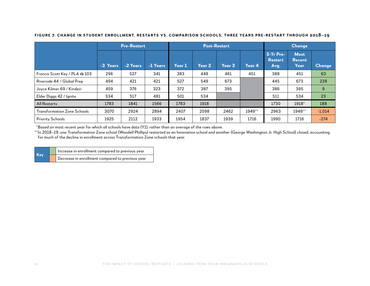|                                    | <b>Pre-Restart</b> |          |          | <b>Post-Restart</b> |        |                   |        | Change                              |                                      |               |
|------------------------------------|--------------------|----------|----------|---------------------|--------|-------------------|--------|-------------------------------------|--------------------------------------|---------------|
|                                    | -3 Years           | -2 Years | -1 Years | Year 1              | Year 2 | Year <sub>3</sub> | Year 4 | 3-Yr Pre-<br><b>Restart</b><br>Avg. | <b>Most</b><br><b>Recent</b><br>Year | <b>Change</b> |
| Francis Scott Key / PLA @ 103      | 296                | 527      | 341      | 383                 | 448    | 461               | 451    | 388                                 | 451                                  | 63            |
| Riverside 44 / Global Prep         | 494                | 421      | 421      | 527                 | 549    | 673               |        | 445                                 | 673                                  | 228           |
| Joyce Kilmer 69 / Kindezi          | 459                | 376      | 323      | 372                 | 387    | 395               |        | 386                                 | 395                                  | 9             |
| Elder Diggs 42 / Ignite            | 534                | 517      | 481      | 501                 | 534    |                   |        | 511                                 | 534                                  | 23            |
| <b>All Restarts</b>                | 1783               | 1841     | 1566     | 1783                | 1918   |                   |        | 1730                                | 1918*                                | 188           |
| <b>Transformation Zone Schools</b> | 3070               | 2924     | 2894     | 2407                | 2598   | 2462              | 1949** | 2963                                | 1949**                               | $-1,014$      |
| <b>Priority Schools</b>            | 1925               | 2112     | 1933     | 1954                | 1837   | 1939              | 1716   | 1990                                | 1716                                 | $-274$        |

**Figure 7. Change in Student Enrollment, Restarts vs. Comparison Schools, Three Years Pre-Restart through 2018–19**

\*Based on most recent year for which all schools have data (Y1), rather than an average of the rows above.

\*\*In 2018–19, one Transformation Zone school (Wendell Phillips) restarted as an Innovation school and another (George Washington Jr. High School) closed, accounting for much of the decline in enrollment across Transformation Zone schools that year.

|            | Increase in enrollment compared to previous year |
|------------|--------------------------------------------------|
| <b>Key</b> | Decrease in enrollment compared to previous year |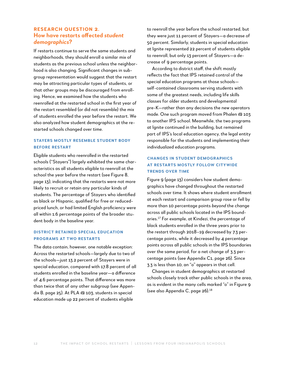#### **Research Question 2. How have restarts affected** *student demographics***?**

If restarts continue to serve the same students and neighborhoods, they should enroll a similar mix of students as the previous school unless the neighborhood is also changing. Significant changes in subgroup representation would suggest that the restart may be attracting particular types of students, or that other groups may be discouraged from enrolling. Hence, we examined how the students who reenrolled at the restarted school in the first year of the restart resembled (or did not resemble) the mix of students enrolled the year before the restart. We also analyzed how student demographics at the restarted schools changed over time.

#### **Stayers mostly resemble student body before restart**

Eligible students who reenrolled in the restarted schools ("Stayers") largely exhibited the same characteristics as all students eligible to reenroll at the school the year before the restart (see Figure 8, page 13), indicating that the restarts were not more likely to recruit or retain any particular kinds of students. The percentage of Stayers who identified as black or Hispanic, qualified for free or reducedpriced lunch, or had limited English proficiency were all within 1.6 percentage points of the broader student body in the baseline year.

#### **District retained special education programs at two restarts**

The data contain, however, one notable exception: Across the restarted schools—largely due to two of the schools—just 13.2 percent of Stayers were in special education, compared with 17.8 percent of all students enrolled in the baseline year—a difference of 4.6 percentage points. That difference was more than twice that of any other subgroup (see Appendix B, page 25). At PLA @ 103, students in special education made up 22 percent of students eligible

to reenroll the year before the school restarted, but they were just 11 percent of Stayers—a decrease of 50 percent. Similarly, students in special education at Ignite represented 22 percent of students eligible to reenroll, but only 13 percent of Stayers—a decrease of 9 percentage points.

According to district staff, the shift mostly reflects the fact that IPS retained control of the special education programs at those schools self-contained classrooms serving students with some of the greatest needs, including life skills classes for older students and developmental pre-K—rather than any decisions the new operators made. One such program moved from Phalen @ 103 to another IPS school. Meanwhile, the two programs at Ignite continued in the building, but remained part of IPS's local education agency, the legal entity responsible for the students and implementing their individualized education programs.

#### **Changes in student demographics at restarts mostly follow citywide trends over time**

Figure 9 (page 13) considers how student demographics have changed throughout the restarted schools over time. It shows where student enrollment at each restart and comparison group rose or fell by more than 10 percentage points *beyond* the change across all public schools located in the IPS boundaries.17 For example, at Kindezi, the percentage of black students enrolled in the three years prior to the restart through 2018–19 decreased by 7.3 percentage points, while it decreased by 4 percentage points across all public schools in the IPS boundaries over the same period, for a net change of 3.3 percentage points (see Appendix C1, page 26). Since 3.3 is less than 10, an "o" appears in that cell.

Changes in student demographics at restarted schools closely track other public schools in the area, as is evident in the many cells marked "o" in Figure 9 (see also Appendix C, page 26).18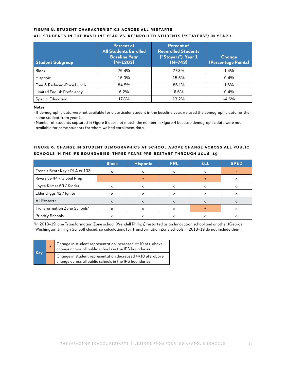#### **Figure 8. Student Characteristics Across all Restarts, All Students in the Baseline Year vs. Reenrolled Students ("Stayers") in Year 1**

| <b>Student Subgroup</b>     | Percent of<br><b>All Students Enrolled</b><br><b>Baseline Year</b><br>$(N=1303)$ | <b>Percent of</b><br><b>Reenrolled Students</b><br>("Stayers"), Year 1<br>$(N=743)$ | Change<br>(Percentage Points) |  |
|-----------------------------|----------------------------------------------------------------------------------|-------------------------------------------------------------------------------------|-------------------------------|--|
| <b>Black</b>                | 76.4%                                                                            | 77.8%                                                                               | 1.4%                          |  |
| <b>Hispanic</b>             | 15.0%                                                                            | 15.5%                                                                               | $0.4\%$                       |  |
| Free & Reduced-Price Lunch  | 84.5%                                                                            | 86.1%                                                                               | 1.6%                          |  |
| Limited English Proficiency | 6.2%                                                                             | 6.6%                                                                                | $0.4\%$                       |  |
| <b>Special Education</b>    | 17.8%                                                                            | 13.2%                                                                               | $-4.6\%$                      |  |

**Notes** 

**•** If demographic data were not available for a particular student in the baseline year, we used the demographic data for the same student from year 1.

**•** Number of students captured in Figure 8 does not match the number in Figure 4 because demographic data were not available for some students for whom we had enrollment data.

#### **Figure 9. Change in Student Demographics at School Above Change Across All Public Schools in the IPS Boundaries, Three Years Pre-Restart through 2018–19**

|                               | <b>Black</b> | <b>Hispanic</b> | <b>FRL</b> | <b>ELL</b> | <b>SPED</b> |
|-------------------------------|--------------|-----------------|------------|------------|-------------|
| Francis Scott Key / PLA @ 103 | $\Omega$     | $\circ$         | $\circ$    | $\Omega$   |             |
| Riverside 44 / Global Prep    |              |                 |            |            | O           |
| Joyce Kilmer 69 / Kindezi     | $\Omega$     | $\circ$         | Ο          | $\Omega$   | $\Omega$    |
| Elder Diggs 42 / Ignite       | $\circ$      | $\Omega$        | ο          | $\Omega$   |             |
| <b>All Restarts</b>           | $\Omega$     | $\Omega$        |            |            |             |
| Transformation Zone Schools*  | C            | $\Omega$        | Ω          |            | ი           |
| <b>Priority Schools</b>       |              | ი               |            |            |             |

\*In 2018–19, one Transformation Zone school (Wendell Phillips) restarted as an Innovation school and another (George Washington Jr. High School) closed, so calculations for Transformation Zone schools in 2018–19 do not include them.

| Key | Change in student representation increased >=10 pts. above<br>change across all public schools in the IPS boundaries      |
|-----|---------------------------------------------------------------------------------------------------------------------------|
|     | Change in student representation decreased $\ge$ =10 pts. above<br>change across all public schools in the IPS boundaries |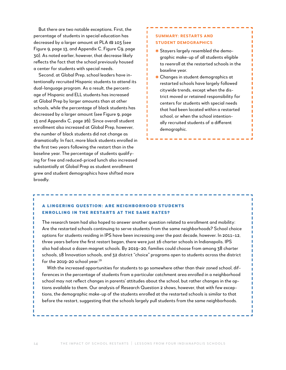But there are two notable exceptions. First, the percentage of students in special education has decreased by a larger amount at PLA @ 103 (see Figure 9, page 13, and Appendix C, Figure C9, page 30). As noted earlier, however, that decrease likely reflects the fact that the school previously housed a center for students with special needs.

Second, at Global Prep, school leaders have intentionally recruited Hispanic students to attend its dual-language program. As a result, the percentage of Hispanic and ELL students has increased at Global Prep by larger amounts than at other schools, while the percentage of black students has decreased by a larger amount (see Figure 9, page 13 and Appendix C, page 26). Since overall student enrollment also increased at Global Prep, however, the *number* of black students did not change as dramatically. In fact, more black students enrolled in the first two years following the restart than in the baseline year. The percentage of students qualifying for free and reduced-priced lunch also increased substantially at Global Prep as student enrollment grew and student demographics have shifted more broadly.

#### **Summary: Restarts and Student Demographics**

ı ı ı п п п п п п Ï ī п п П

п ī ı п п

- ✱ Stayers largely resembled the demographic make-up of all students eligible to reenroll at the restarted schools in the baseline year.
- ✱ Changes in student demographics at restarted schools have largely followed citywide trends, except when the district moved or retained responsibility for centers for students with special needs that had been located within a restarted school, or when the school intentionally recruited students of a different demographic.

#### A lingering question: Are neighborhood students enrolling in the restarts at the same rates?

The research team had also hoped to answer another question related to enrollment and mobility: Are the restarted schools continuing to serve students from the same neighborhoods? School choice options for students residing in IPS have been increasing over the past decade, however. In 2011–12, three years before the first restart began, there were just 16 charter schools in Indianapolis. IPS also had about a dozen magnet schools. By 2019–20, families could choose from among 38 charter schools, 18 Innovation schools, and 32 district "choice" programs open to students across the district for the 2019-20 school year.<sup>19</sup>

With the increased opportunities for students to go somewhere other than their zoned school, differences in the percentage of students from a particular catchment area enrolled in a neighborhood school may not reflect changes in parents' attitudes about the school, but rather changes in the options available to them. Our analysis of Research Question 2 shows, however, that with few exceptions, the demographic make-up of the students enrolled at the restarted schools is similar to that before the restart, suggesting that the schools largely pull students from the same neighborhoods.

٠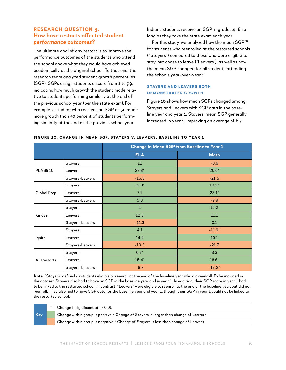#### **Research Question 3. How have restarts affected student**  *performance outcomes***?**

The ultimate goal of any restart is to improve the performance outcomes of the students who attend the school above what they would have achieved academically at the original school. To that end, the research team analyzed student growth percentiles (SGP). SGPs assign students a score from 1 to 99, indicating how much growth the student made relative to students performing similarly at the end of the previous school year (per the state exam). For example, a student who receives an SGP of 50 made more growth than 50 percent of students performing similarly at the end of the previous school year.

Indiana students receive an SGP in grades 4–8 so long as they take the state exam each year.

For this study, we analyzed how the mean SGP<sup>20</sup> for students who reenrolled at the restarted schools ("Stayers") compared to those who were eligible to stay, but chose to leave ("Leavers"), as well as how the mean SGP changed for all students attending the schools year-over-year.<sup>21</sup>

#### **Stayers and Leavers both demonstrated growth**

Figure 10 shows how mean SGPs changed among Stayers and Leavers with SGP data in the baseline year and year 1. Stayers' mean SGP generally increased in year 1, improving an average of 6.7

|                |                 |            | Change in Mean SGP from Baseline to Year 1 |
|----------------|-----------------|------------|--------------------------------------------|
|                |                 | <b>ELA</b> | <b>Math</b>                                |
|                | Stayers         | 11         | $-0.9$                                     |
| $PLA \t{a} 10$ | Leavers         | $27.3*$    | $20.6*$                                    |
|                | Stayers-Leavers | $-16.3$    | $-21.5$                                    |
|                | <b>Stayers</b>  | $12.9*$    | $13.2*$                                    |
| Global Prep    | Leavers         | 7.1        | $23.1*$                                    |
|                | Stayers-Leavers | 5.8        | $-9.9$                                     |
|                | <b>Stayers</b>  | $1\,$      | 11.2                                       |
| Kindezi        | Leavers         | 12.3       | 11.1                                       |
|                | Stayers-Leavers | $-11.3$    | 0.1                                        |
|                | <b>Stayers</b>  | 4.1        | $-11.6*$                                   |
| Ignite         | Leavers         | 14.2       | 10.1                                       |
|                | Stayers-Leavers | $-10.2$    | $-21.7$                                    |
|                | Stayers         | $6.7*$     | 3.3                                        |
| All Restarts   | Leavers         | $15.4*$    | $16.6*$                                    |
|                | Stayers-Leavers | $-8.7$     | $-13.2*$                                   |

#### **Figure 10. change in Mean sgp, Stayers v. Leavers, Baseline to Year 1**

**Note.** "Stayers" defined as students eligible to reenroll at the end of the baseline year who did reenroll. To be included in the dataset, Stayers also had to have an SGP in the baseline year and in year 1. In addition, their SGP score in year 1 had to be linked to the restarted school. In contrast, "Leavers" were eligible to reenroll at the end of the baseline year, but did not reenroll. They also had to have SGP data for the baseline year and year 1, though their SGP in year 1 could not be linked to the restarted school.

|            | $\mid$ Change is significant at p<0.05                                                      |
|------------|---------------------------------------------------------------------------------------------|
| <b>Key</b> | $\Box$ Change within group is positive / Change of Stayers is larger than change of Leavers |
|            | Change within group is negative / Change of Stayers is less than change of Leavers          |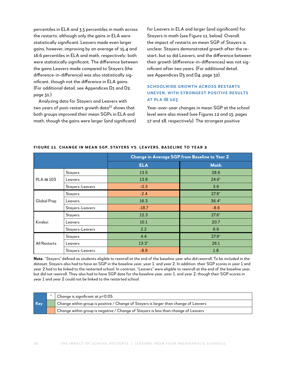percentiles in ELA and 3.3 percentiles in math across the restarts, although only the gains in ELA were statistically significant. Leavers made even larger gains, however, improving by an average of 15.4 and 16.6 percentiles in ELA and math, respectively; both were statistically significant. The difference between the gains Leavers made compared to Stayers (the difference-in-difference) was also statistically significant, though not the difference in ELA gains. (For additional detail, see Appendices D1 and D2, page 31.)

Analyzing data for Stayers and Leavers with two years of post-restart growth data<sup>22</sup> shows that both groups improved their mean SGPs in ELA and math, though the gains were larger (and significant) for Leavers in ELA and larger (and significant) for Stayers in math (see Figure 11, below). Overall, the impact of restarts on mean SGP of Stayers is unclear. Stayers demonstrated growth after the restart, but so did Leavers, and the difference between their growth (difference-in-differences) was not significant after two years. (For additional detail, see Appendices D3 and D4, page 32).

#### **Schoolwide growth across restarts uneven, with strongest positive results at PLA @ 103**

Year-over-year changes in mean SGP at the school level were also mixed (see Figures 12 and 13, pages 17 and 18, respectively). The strongest positive

|                     |                 |            | Change in Average SGP from Baseline to Year 2 |
|---------------------|-----------------|------------|-----------------------------------------------|
|                     |                 | <b>ELA</b> | <b>Math</b>                                   |
|                     | Stayers         | 13.5       | 28.6                                          |
| PLA @ 103           | Leavers         | 13.8       | $24.6*$                                       |
|                     | Stayers-Leavers | $-0.3$     | 3.9                                           |
|                     | <b>Stayers</b>  | $-2.4$     | $27.8*$                                       |
| Global Prep         | Leavers         | 16.3       | $36.4*$                                       |
|                     | Stayers-Leavers | $-18.7$    | $-8.6$                                        |
|                     | <b>Stayers</b>  | 12.3       | $27.6*$                                       |
| Kindezi             | Leavers         | 10.1       | 20.7                                          |
|                     | Stayers-Leavers | 2.2        | 6.9                                           |
|                     | <b>Stayers</b>  | 4.4        | $27.9*$                                       |
| <b>All Restarts</b> | Leavers         | $13.3*$    | 26.1                                          |
|                     | Stayers-Leavers | $-8.9$     | 1.8                                           |

#### **Figure 11. Change in Mean SGP, Stayers vs. Leavers, Baseline to Year 2**

**Note.** "Stayers" defined as students eligible to reenroll at the end of the baseline year who did reenroll. To be included in the dataset, Stayers also had to have an SGP in the baseline year, year 1, and year 2. In addition, their SGP scores in year 1 and year 2 had to be linked to the restarted school. In contrast, "Leavers" were eligible to reenroll at the end of the baseline year, but did not reenroll. They also had to have SGP data for the baseline year, year 1, and year 2, though their SGP scores in year 1 and year 2 could not be linked to the restarted school.

|     | Change is significant at $p< 0.05$                                                   |
|-----|--------------------------------------------------------------------------------------|
| Key | Change within group is positive / Change of Stayers is larger than change of Leavers |
|     | Change within group is negative / Change of Stayers is less than change of Leavers   |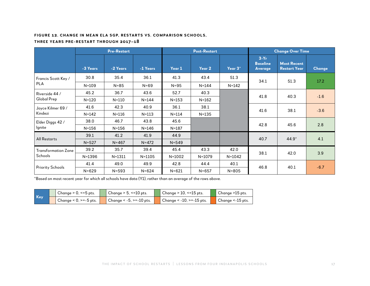#### **Figure 12. Change in Mean ELA SGP, Restarts vs. Comparison Schools,**

#### **Three Years Pre-Restart through 2017–18**

|                            |            | <b>Pre-Restart</b> |            |            | <b>Post-Restart</b> |            |                                      | <b>Change Over Time</b>                   |               |  |
|----------------------------|------------|--------------------|------------|------------|---------------------|------------|--------------------------------------|-------------------------------------------|---------------|--|
|                            | -3 Years   | -2 Years           | -1 Years   | Year 1     | Year 2              | Year 3*    | $3-Yr$<br><b>Baseline</b><br>Average | <b>Most Recent</b><br><b>Restart Year</b> | <b>Change</b> |  |
| Francis Scott Key /        | 30.8       | 35.4               | 36.1       | 41.3       | 43.4                | 51.3       | 34.1                                 | 51.3                                      | 17.2          |  |
| <b>PLA</b>                 | $N = 109$  | $N = 85$           | $N = 69$   | $N = 95$   | $N = 144$           | $N = 142$  |                                      |                                           |               |  |
| Riverside 44 /             | 45.2       | 36.7               | 43.6       | 52.7       | 40.3                |            | 41.8                                 | 40.3                                      |               |  |
| Global Prep                | $N = 120$  | $N = 110$          | $N = 144$  | $N = 153$  | $N = 162$           |            |                                      |                                           | $-1.6$        |  |
| Joyce Kilmer 69 /          | 41.6       | 42.3               | 40.9       | 36.1       | 38.1                |            | 41.6                                 | 38.1                                      | $-3.6$        |  |
| Kindezi                    | $N = 142$  | $N = 116$          | $N = 113$  | $N = 114$  | $N = 135$           |            |                                      |                                           |               |  |
| Elder Diggs 42 /           | 38.0       | 46.7               | 43.8       | 45.6       |                     |            | 42.8                                 | 45.6                                      | 2.8           |  |
| Ignite                     | $N = 156$  | $N = 156$          | $N = 146$  | $N = 187$  |                     |            |                                      |                                           |               |  |
| <b>All Restarts</b>        | 39.1       | 41.2               | 41.9       | 44.9       |                     |            | 40.7                                 | $44.9*$                                   | 4.1           |  |
|                            | $N = 527$  | $N = 467$          | $N = 472$  | $N = 549$  |                     |            |                                      |                                           |               |  |
| <b>Transformation Zone</b> | 39.2       | 35.7               | 39.4       | 45.4       | 43.3                | 42.0       | 38.1                                 | 42.0                                      | 3.9           |  |
| Schools                    | $N = 1396$ | $N = 1311$         | $N = 1105$ | $N = 1002$ | $N = 1079$          | $N = 1042$ |                                      |                                           |               |  |
|                            | 41.4       | 49.0               | 49.9       | 42.8       | 44.4                | 40.1       |                                      |                                           |               |  |
| <b>Priority Schools</b>    | $N = 629$  | $N = 593$          | $N = 624$  | $N = 621$  | $N = 657$           | $N = 805$  | 46.8                                 | 40.1                                      | $-6.7$        |  |

\*Based on most recent year for which all schools have data (Y1), rather than an average of the rows above.

| Key | Change $> 0$ , $\leq 5$ pts. | Change $> 5, \le 10$ pts.     | Change $> 10$ , $\le$ =15 pts. | Change >15 pts.   |
|-----|------------------------------|-------------------------------|--------------------------------|-------------------|
|     | Change < 0, >=-5 pts.        | Change < $-5$ , >= $-10$ pts. | Change < -10, > = -15 pts.     | Change <- 15 pts. |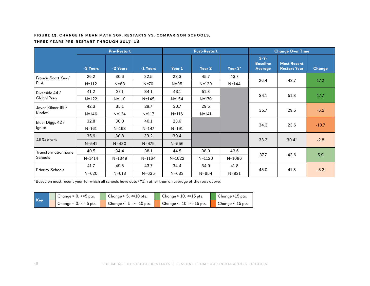#### **Figure 13. Change in Mean Math SGP, Restarts vs. Comparison Schools,**

#### **Three Years Pre-Restart through 2017–18**

|                            |            | <b>Pre-Restart</b> |            |            | <b>Post-Restart</b> |            |                                      | <b>Change Over Time</b>                   |         |  |
|----------------------------|------------|--------------------|------------|------------|---------------------|------------|--------------------------------------|-------------------------------------------|---------|--|
|                            | -3 Years   | -2 Years           | -1 Years   | Year 1     | Year 2              | Year 3*    | $3-Yr$<br><b>Baseline</b><br>Average | <b>Most Recent</b><br><b>Restart Year</b> | Change  |  |
| Francis Scott Key /        | 26.2       | 30.6               | 22.5       | 23.3       | 45.7                | 43.7       | 26.4                                 |                                           | 17.2    |  |
| <b>PLA</b>                 | $N = 112$  | $N = 83$           | $N=70$     | $N = 95$   | $N = 139$           | $N = 144$  |                                      | 43.7                                      |         |  |
| Riverside 44 /             | 41.2       | 27.1               | 34.1       | 43.1       | 51.8                |            | 34.1                                 |                                           |         |  |
| Global Prep                | $N = 122$  | $N = 110$          | $N = 145$  | $N = 154$  | $N = 170$           |            |                                      | 51.8                                      | 17.7    |  |
| Joyce Kilmer 69 /          | 42.3       | 35.1               | 29.7       | 30.7       | 29.5                |            |                                      |                                           | $-6.2$  |  |
| Kindezi                    | $N = 146$  | $N = 124$          | $N = 117$  | $N = 116$  | $N = 141$           |            | 35.7                                 | 29.5                                      |         |  |
| Elder Diggs 42 /           | 32.8       | 30.0               | 40.1       | 23.6       |                     |            |                                      | 23.6                                      |         |  |
| lgnite                     | $N = 161$  | $N = 163$          | $N = 147$  | $N = 191$  |                     |            | 34.3                                 |                                           | $-10.7$ |  |
|                            | 35.9       | 30.8               | 33.2       | 30.4       |                     |            |                                      |                                           |         |  |
| <b>All Restarts</b>        | $N = 541$  | $N = 480$          | $N = 479$  | $N = 556$  |                     |            | 33.3                                 | $30.4*$                                   | $-2.8$  |  |
| <b>Transformation Zone</b> | 40.5       | 34.4               | 38.1       | 44.5       | 38.0                | 43.6       |                                      |                                           |         |  |
| Schools                    | $N = 1414$ | $N = 1349$         | $N = 1164$ | $N = 1022$ | $N = 1120$          | $N = 1086$ | 37.7                                 | 43.6                                      | 5.9     |  |
|                            | 41.7       | 49.6               | 43.7       | 34.4       | 34.9                | 41.8       |                                      |                                           |         |  |
| <b>Priority Schools</b>    | $N = 620$  | $N = 613$          | $N = 635$  | $N = 633$  | $N = 654$           | $N = 821$  | 45.0                                 | 41.8                                      | $-3.3$  |  |

\*Based on most recent year for which all schools have data (Y1), rather than an average of the rows above.

| Key | Change > 0, <=5 pts.        | Change $> 5, \le 10$ pts.     | Change $> 10$ , $\le$ =15 pts. | Change >15 pts.     |
|-----|-----------------------------|-------------------------------|--------------------------------|---------------------|
|     | Change $< 0$ , $>= -5$ pts. | Change $< -5$ , $>= -10$ pts. | Change < -10, > = -15 pts.     | Change $<$ -15 pts. |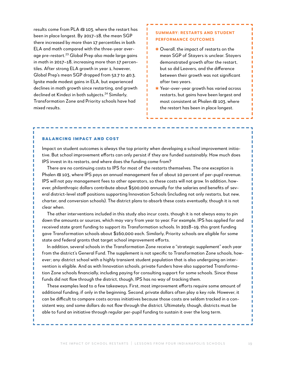results come from PLA @ 103, where the restart has been in place longest. By 2017–18, the mean SGP there increased by more than 17 percentiles in both ELA and math compared with the three-year average pre-restart.<sup>23</sup> Global Prep also made large gains in math in 2017–18, increasing more than 17 percentiles. After strong ELA growth in year 1, however, Global Prep's mean SGP dropped from 52.7 to 40.3. Ignite made modest gains in ELA, but experienced declines in math growth since restarting, and growth declined at Kindezi in both subjects.<sup>24</sup> Similarly, Transformation Zone and Priority schools have had mixed results.

#### **Summary: Restarts and Student Performance Outcomes**

- ✱ Overall, the impact of restarts on the mean SGP of Stayers is unclear. Stayers demonstrated growth after the restart, but so did Leavers, and the difference between their growth was not significant after two years.
- ✱ Year-over-year growth has varied across restarts, but gains have been largest and most consistent at Phalen @ 103, where the restart has been in place longest.

#### Balancing Impact and Cost

л ı I

Impact on student outcomes is always the top priority when developing a school improvement initiative. But school improvement efforts can only persist if they are funded sustainably. How much does IPS invest in its restarts, and where does the funding come from?

ı п п п ı ı п Ī. ī ı ī п п п ı п п ī

There are no continuing costs to IPS for most of the restarts themselves. The one exception is Phalen @ 103, where IPS pays an annual management fee of about 10 percent of per-pupil revenue. IPS will not pay management fees to other operators, so these costs will not grow. In addition, however, philanthropic dollars contribute about \$500,000 annually for the salaries and benefits of several district-level staff positions supporting Innovation Schools (including not only restarts, but new, charter, and conversion schools). The district plans to absorb these costs eventually, though it is not clear when.

The other interventions included in this study also incur costs, though it is not always easy to pin down the amounts or sources, which may vary from year to year. For example, IPS has applied for and received state grant funding to support its Transformation schools. In 2018–19, this grant funding gave Transformation schools about \$160,000 each. Similarly, Priority schools are eligible for some state and federal grants that target school improvement efforts.

In addition, several schools in the Transformation Zone receive a "strategic supplement" each year from the district's General Fund. The supplement is not specific to Transformation Zone schools, however; any district school with a highly transient student population that is also undergoing an intervention is eligible. And as with Innovation schools, private funders have also supported Transformation Zone schools financially, including paying for consulting support for some schools. Since those funds did not flow through the district, though, IPS has no way of tracking them.

These examples lead to a few takeaways. First, most improvement efforts require some amount of additional funding, if only in the beginning. Second, private dollars often play a key role. However, it can be difficult to compare costs across initiatives because those costs are seldom tracked in a consistent way, and some dollars do not flow through the district. Ultimately, though, districts must be able to fund an initiative through regular per-pupil funding to sustain it over the long term.

Г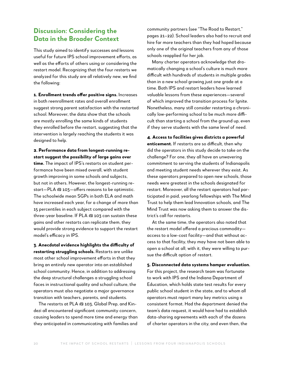# **Discussion: Considering the Data in the Broader Context**

This study aimed to identify successes and lessons useful for future IPS school improvement efforts, as well as the efforts of others using or considering the restart model. Recognizing that the four restarts we analyzed for this study are all relatively new, we find the following:

**1. Enrollment trends offer positive signs.** Increases in both reenrollment rates and overall enrollment suggest strong parent satisfaction with the restarted school. Moreover, the data show that the schools are mostly enrolling the same kinds of students they enrolled before the restart, suggesting that the intervention is largely reaching the students it was designed to help.

**2. Performance data from longest-running restart suggest the possibility of large gains over time.** The impact of IPS's restarts on student performance have been mixed overall, with student growth improving in some schools and subjects, but not in others. However, the longest-running restart—PLA @ 103—offers reasons to be optimistic. The schoolwide mean SGPs in both ELA and math have increased each year, for a change of more than 15 percentiles in each subject compared with the three-year baseline. If PLA @ 103 can sustain these gains and other restarts can replicate them, they would provide strong evidence to support the restart model's efficacy in IPS.

**3. Anecdotal evidence highlights the difficulty of restarting struggling schools.** Restarts are unlike most other school improvement efforts in that they bring an entirely new operator into an established school community. Hence, in addition to addressing the deep structural challenges a struggling school faces in instructional quality and school culture, the operators must also negotiate a major governance transition with teachers, parents, and students.

The restarts at PLA @ 103, Global Prep, and Kindezi all encountered significant community concern, causing leaders to spend more time and energy than they anticipated in communicating with families and

community partners (see "The Road to Restart," pages 21–22). School leaders also had to recruit and hire far more teachers than they had hoped because only one of the original teachers from any of those schools reapplied for her job.

Many charter operators acknowledge that dramatically changing a school's culture is much more difficult with hundreds of students in multiple grades than in a new school growing just one grade at a time. Both IPS and restart leaders have learned valuable lessons from these experiences—several of which improved the transition process for Ignite. Nonetheless, many still consider restarting a chronically low-performing school to be much more difficult than starting a school from the ground up, even if they serve students with the same level of need.

**4. Access to facilities gives districts a powerful enticement.** If restarts are so difficult, then why did the operators in this study decide to take on the challenge? For one, they all have an unwavering commitment to serving the students of Indianapolis and meeting student needs wherever they exist. As these operators prepared to open new schools, those needs were greatest in the schools designated for restart. Moreover, all the restart operators had participated in paid, yearlong fellowships with The Mind Trust to help them lead Innovation schools, and The Mind Trust was now asking them to answer the district's call for restarts.

At the same time, the operators also noted that the restart model offered a precious commodity access to a low-cost facility—and that without access to that facility, they may have not been able to open a school at all; with it, they were willing to pursue the difficult option of restart.

**5. Disconnected data systems hamper evaluation.**  For this project, the research team was fortunate to work with IPS and the Indiana Department of Education, which holds state test results for every public school student in the state, and to whom all operators must report many key metrics using a consistent format. Had the department denied the team's data request, it would have had to establish data-sharing agreements with each of the dozens of charter operators in the city, and even then, the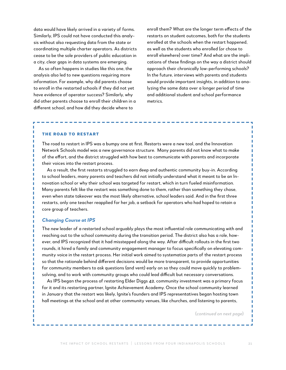data would have likely arrived in a variety of forms. Similarly, IPS could not have conducted this analysis without also requesting data from the state or coordinating multiple charter operators. As districts cease to be the sole providers of public education in a city, clear gaps in data systems are emerging.

As so often happens in studies like this one, the analysis also led to new questions requiring more information. For example, why did parents choose to enroll in the restarted schools if they did not yet have evidence of operator success? Similarly, why did other parents choose to enroll their children in a different school, and how did they decide where to

enroll them? What are the longer term effects of the restarts on student outcomes, both for the students enrolled at the schools when the restart happened, as well as the students who enrolled (or chose to enroll elsewhere) over time? And what are the implications of these findings on the way a district should approach their chronically low-performing schools? In the future, interviews with parents and students would provide important insights, in addition to analyzing the same data over a longer period of time and additional student and school performance metrics.

#### The Road to Restart

ı

I

п т п л

п

The road to restart in IPS was a bumpy one at first. Restarts were a new tool, and the Innovation Network Schools model was a new governance structure. Many parents did not know what to make of the effort, and the district struggled with how best to communicate with parents and incorporate their voices into the restart process.

As a result, the first restarts struggled to earn deep and authentic community buy-in. According to school leaders, many parents and teachers did not initially understand what it meant to be an Innovation school or why their school was targeted for restart, which in turn fueled misinformation. Many parents felt like the restart was something done to them, rather than something they chose, even when state takeover was the most likely alternative, school leaders said. And in the first three restarts, only one teacher reapplied for her job, a setback for operators who had hoped to retain a core group of teachers.

#### *Changing Course at IPS*

The new leader of a restarted school arguably plays the most influential role communicating with and reaching out to the school community during the transition period. The district also has a role, however, and IPS recognized that it had misstepped along the way. After difficult rollouts in the first two rounds, it hired a family and community engagement manager to focus specifically on elevating community voice in the restart process. Her initial work aimed to systematize parts of the restart process so that the rationale behind different decisions would be more transparent, to provide opportunities for community members to ask questions (and vent) early on so they could move quickly to problemsolving, and to work with community groups who could lead difficult but necessary conversations.

As IPS began the process of restarting Elder Diggs 42, community investment was a primary focus for it and its restarting partner, Ignite Achievement Academy. Once the school community learned in January that the restart was likely, Ignite's founders and IPS representatives began hosting town hall meetings at the school and at other community venues, like churches, and listening to parents,

(*continued on next page*)

ı

I I I ī

ı Ī Ī

I

I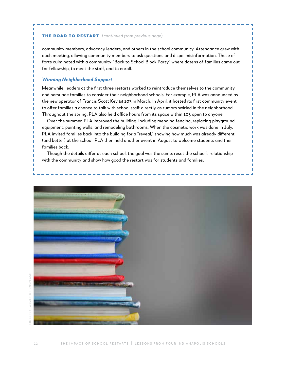#### The Road to Restart (*continued from previous page*)

community members, advocacy leaders, and others in the school community. Attendance grew with each meeting, allowing community members to ask questions and dispel misinformation. These efforts culminated with a community "Back to School Block Party" where dozens of families came out for fellowship, to meet the staff, and to enroll.

П

#### *Winning Neighborhood Support*

п

I I п Г п

> Meanwhile, leaders at the first three restarts worked to reintroduce themselves to the community and persuade families to consider their neighborhood schools. For example, PLA was announced as the new operator of Francis Scott Key @ 103 in March. In April, it hosted its first community event to offer families a chance to talk with school staff directly as rumors swirled in the neighborhood. Throughout the spring, PLA also held office hours from its space within 103 open to anyone.

Over the summer, PLA improved the building, including mending fencing, replacing playground equipment, painting walls, and remodeling bathrooms. When the cosmetic work was done in July, PLA invited families back into the building for a "reveal," showing how much was already different (and better) at the school. PLA then held another event in August to welcome students and their families back.

Though the details differ at each school, the goal was the same: reset the school's relationship with the community and show how good the restart was for students and families.

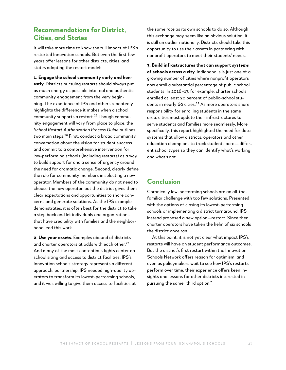# **Recommendations for District, Cities, and States**

It will take more time to know the full impact of IPS's restarted Innovation schools. But even the first few years offer lessons for other districts, cities, and states adopting the restart model:

**1. Engage the school community early and honestly.** Districts pursuing restarts should always put as much energy as possible into real and authentic community engagement from the very beginning. The experience of IPS and others repeatedly highlights the difference it makes when a school community supports a restart.25 Though community engagement will vary from place to place, the *School Restart Authorization Process Guide* outlines two main steps.26 First, conduct a broad community conversation about the vision for student success and commit to a comprehensive intervention for low-performing schools (including restarts) as a way to build support for and a sense of urgency around the need for dramatic change. Second, clearly define the role for community members in selecting a new operator. Members of the community do not need to choose the new operator, but the district gives them clear expectations and opportunities to share concerns and generate solutions. As the IPS example demonstrates, it is often best for the district to take a step back and let individuals and organizations that have credibility with families and the neighborhood lead this work.

**2. Use your assets.** Examples abound of districts and charter operators at odds with each other.<sup>27</sup> And many of the most contentious fights center on school siting and access to district facilities. IPS's Innovation schools strategy represents a different approach: partnership. IPS needed high-quality operators to transform its lowest-performing schools, and it was willing to give them access to facilities at the same rate as its own schools to do so. Although this exchange may seem like an obvious solution, it is still an outlier nationally. Districts should take this opportunity to use their assets in partnering with nonprofit operators to meet their students' needs.

**3. Build infrastructures that can support** *systems*  **of schools across a city.** Indianapolis is just one of a growing number of cities where nonprofit operators now enroll a substantial percentage of public school students. In 2016–17, for example, charter schools enrolled at least 20 percent of public-school students in nearly 60 cities.<sup>28</sup> As more operators share responsibility for enrolling students in the same area, cities must update their infrastructures to serve students and families more seamlessly. More specifically, this report highlighted the need for data systems that allow districts, operators and other education champions to track students across different school types so they can identify what's working and what's not.

### **Conclusion**

Chronically low-performing schools are an all-toofamiliar challenge with too few solutions. Presented with the options of closing its lowest-performing schools or implementing a district turnaround, IPS instead proposed a new option—restart. Since then, charter operators have taken the helm of six schools the district once ran.

At this point, it is not yet clear what impact IPS's restarts will have on student performance outcomes. But the district's first restart within the Innovation Schools Network offers reason for optimism, and even as policymakers wait to see how IPS's restarts perform over time, their experience offers keen insights and lessons for other districts interested in pursuing the same "third option."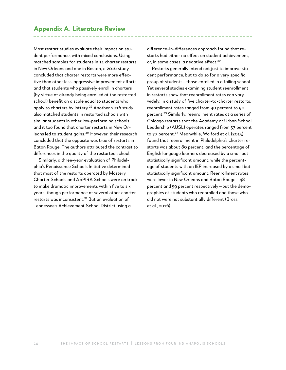## **Appendix A. Literature Review**

Most restart studies evaluate their impact on student performance, with mixed conclusions. Using matched samples for students in 11 charter restarts in New Orleans and one in Boston, a 2016 study concluded that charter restarts were more effective than other less-aggressive improvement efforts, and that students who passively enroll in charters (by virtue of already being enrolled at the restarted school) benefit on a scale equal to students who apply to charters by lottery.<sup>29</sup> Another 2016 study also matched students in restarted schools with similar students in other low-performing schools, and it too found that charter restarts in New Orleans led to student gains.<sup>30</sup> However, their research concluded that the opposite was true of restarts in Baton Rouge. The authors attributed the contrast to differences in the quality of the restarted school.

Similarly, a three-year evaluation of Philadelphia's Renaissance Schools Initiative determined that most of the restarts operated by Mastery Charter Schools and ASPIRA Schools were on track to make dramatic improvements within five to six years, though performance at several other charter restarts was inconsistent.<sup>31</sup> But an evaluation of Tennessee's Achievement School District using a

difference-in-differences approach found that restarts had either no effect on student achievement, or, in some cases, a negative effect.<sup>32</sup>

Restarts generally intend not just to improve student performance, but to do so for a very specific group of students—those enrolled in a failing school. Yet several studies examining student reenrollment in restarts show that reenrollment rates can vary widely. In a study of five charter-to-charter restarts, reenrollment rates ranged from 40 percent to 90 percent.33 Similarly, reenrollment rates at a series of Chicago restarts that the Academy or Urban School Leadership (AUSL) operates ranged from 57 percent to 77 percent.<sup>34</sup> Meanwhile, Wolford et al. (2013) found that reenrollment in Philadelphia's charter restarts was about 80 percent, and the percentage of English language learners decreased by a small but statistically significant amount, while the percentage of students with an IEP increased by a small but statistically significant amount. Reenrollment rates were lower in New Orleans and Baton Rouge—48 percent and 59 percent respectively—but the demographics of students who reenrolled and those who did not were not substantially different (Bross et al., 2016).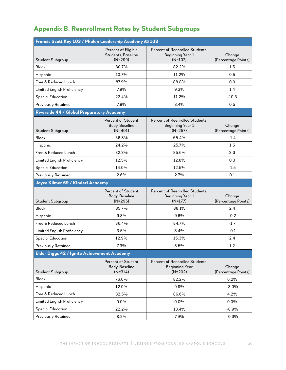# **Appendix B. Reenrollment Rates by Student Subgroups**

| Francis Scott Key 103 / Phalen Leadership Academy @ 103 |                                                        |                                                                         |                               |
|---------------------------------------------------------|--------------------------------------------------------|-------------------------------------------------------------------------|-------------------------------|
| Student Subgroup                                        | Percent of Eligible<br>Students, Baseline<br>$(N=299)$ | Percent of Reenrolled Students,<br><b>Beginning Year 1</b><br>$(N=107)$ | Change<br>(Percentage Points) |
| <b>Black</b>                                            | 80.7%                                                  | 82.2%                                                                   | 1.5                           |
| Hispanic                                                | 10.7%                                                  | 11.2%                                                                   | 0.5                           |
| Free & Reduced Lunch                                    | 87.9%                                                  | 88.8%                                                                   | 0.0                           |
| Limited English Proficiency                             | 7.9%                                                   | 9.3%                                                                    | 1.4                           |
| <b>Special Education</b>                                | 22.4%                                                  | 11.2%                                                                   | $-10.3$                       |
| <b>Previously Retained</b>                              | 7.9%                                                   | 8.4%                                                                    | 0.5                           |
| Riverside 44 / Global Preparatory Academy               |                                                        |                                                                         |                               |
| Student Subgroup                                        | Percent of Student<br>Body, Baseline<br>$(N=401)$      | Percent of Reenrolled Students,<br>Beginning Year 1<br>$(N=257)$        | Change<br>(Percentage Points) |
| <b>Black</b>                                            | 66.8%                                                  | 65.4%                                                                   | $-1.4$                        |
| Hispanic                                                | 24.2%                                                  | 25.7%                                                                   | 1.5                           |
| Free & Reduced Lunch                                    | 82.3%                                                  | 85.6%                                                                   | 3.3                           |
| Limited English Proficiency                             | 12.5%                                                  | 12.8%                                                                   | 0.3                           |
| <b>Special Education</b>                                | 14.0%                                                  | 12.5%                                                                   | $-1.5$                        |
| <b>Previously Retained</b>                              | 2.6%                                                   | 2.7%                                                                    | 0.1                           |
| Joyce Kilmer 69 / Kindezi Academy                       |                                                        |                                                                         |                               |
| Student Subgroup                                        | Percent of Student<br>Body, Baseline<br>$(N=296)$      | Percent of Reenrolled Students,<br><b>Beginning Year 1</b><br>$(N=177)$ | Change<br>(Percentage Points) |
| <b>Black</b>                                            | 85.7%                                                  | 88.1%                                                                   | 2.4                           |
| Hispanic                                                | 9.8%                                                   | 9.6%                                                                    | $-0.2$                        |
| Free & Reduced Lunch                                    | 86.4%                                                  | 84.7%                                                                   | $-1.7$                        |
| Limited English Proficiency                             | 3.5%                                                   | 3.4%                                                                    | $-0.1$                        |
| <b>Special Education</b>                                | 12.9%                                                  | 15.3%                                                                   | 2.4                           |
| <b>Previously Retained</b>                              | 7.3%                                                   | 8.5%                                                                    | 1.2                           |
| Elder Diggs 42 / Ignite Achievement Academy             |                                                        |                                                                         |                               |
| Student Subgroup                                        | Percent of Student<br>Body, Baseline<br>$(N=314)$      | Percent of Reenrolled Students,<br>Beginning Year<br>$(N=202)$          | Change<br>(Percentage Points) |
| <b>Black</b>                                            | 76.0%                                                  | 82.2%                                                                   | 6.2%                          |
| Hispanic                                                | 12.9%                                                  | 9.9%                                                                    | $-3.0%$                       |
| Free & Reduced Lunch                                    | 82.5%                                                  | 86.6%                                                                   | 4.2%                          |
| Limited English Proficiency                             | 0.0%                                                   | 0.0%                                                                    | $0.0\%$                       |
| <b>Special Education</b>                                | 22.2%                                                  | 13.4%                                                                   | $-8.9%$                       |
| <b>Previously Retained</b>                              | 8.2%                                                   | 7.9%                                                                    | $-0.3%$                       |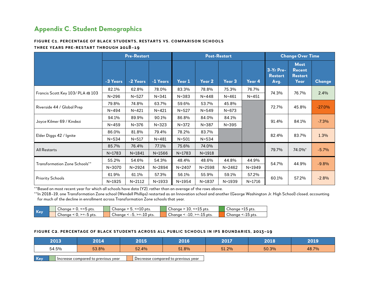# **Appendix C. Student Demographics**

#### **Figure C1. Percentage of Black Students, Restarts vs. Comparison Schools**

#### **Three Years Pre-Restart through 2018–19**

|                                  |            | <b>Pre-Restart</b> |            |            |            | <b>Post-Restart</b> |            |                                     | <b>Change Over Time</b>                                |          |  |
|----------------------------------|------------|--------------------|------------|------------|------------|---------------------|------------|-------------------------------------|--------------------------------------------------------|----------|--|
|                                  | -3 Years   | -2 Years           | -1 Years   | Year 1     | Year 2     | Year 3              | Year 4     | 3-Yr Pre-<br><b>Restart</b><br>Avg. | <b>Most</b><br><b>Recent</b><br><b>Restart</b><br>Year | Change   |  |
|                                  | 82.1%      | 62.8%              | 78.0%      | 83.3%      | 78.8%      | 75.3%               | 76.7%      |                                     |                                                        |          |  |
| Francis Scott Key 103/ PLA @ 103 | $N = 296$  | $N = 527$          | $N = 341$  | $N = 383$  | $N = 448$  | $N = 461$           | $N = 451$  | 74.3%                               | 76.7%                                                  | 2.4%     |  |
|                                  | 79.8%      | 74.8%              | 63.7%      | 59.6%      | 53.7%      | 45.8%               |            |                                     |                                                        |          |  |
| Riverside 44 / Global Prep       | $N = 494$  | $N = 421$          | $N = 421$  | $N = 527$  | $N = 549$  | $N = 673$           |            | 72.7%                               | 45.8%                                                  | $-27.0%$ |  |
|                                  | 94.1%      | 89.9%              | 90.1%      | 86.8%      | 84.0%      | 84.1%               |            |                                     |                                                        |          |  |
| Joyce Kilmer 69 / Kindezi        | $N = 459$  | $N = 376$          | $N = 323$  | $N = 372$  | $N = 387$  | $N = 395$           |            | 91.4%                               | 84.1%                                                  | $-7.3%$  |  |
|                                  | 86.0%      | 81.8%              | 79.4%      | 78.2%      | 83.7%      |                     |            | 82.4%                               | 83.7%                                                  |          |  |
| Elder Diggs 42 / Ignite          | $N = 534$  | $N = 517$          | $N = 481$  | $N = 501$  | $N = 534$  |                     |            |                                     |                                                        | 1.3%     |  |
|                                  | 85.7%      | 76.4%              | 77.1%      | 75.6%      | 74.0%      |                     |            |                                     |                                                        |          |  |
| <b>All Restarts</b>              | $N = 1783$ | $N = 1841$         | $N = 1566$ | $N = 1783$ | $N = 1918$ |                     |            | 79.7%                               | 74.0%*                                                 | $-5.7%$  |  |
|                                  | 55.2%      | 54.6%              | 54.3%      | 48.4%      | 48.6%      | 44.8%               | 44.9%      |                                     |                                                        |          |  |
| Transformation Zone Schools**    | $N = 3070$ | $N = 2924$         | $N = 2894$ | $N = 2407$ | $N = 2598$ | $N = 2462$          | $N = 1949$ | 54.7%                               | 44.9%                                                  | $-9.8%$  |  |
|                                  | 61.9%      | 61.1%              | 57.3%      | 56.1%      | 55.9%      | 59.1%               | 57.2%      |                                     |                                                        |          |  |
| <b>Priority Schools</b>          | $N = 1925$ | $N = 2112$         | $N = 1933$ | $N = 1954$ | $N = 1837$ | $N = 1939$          | $N = 1716$ | 60.1%                               | 57.2%                                                  | $-2.8%$  |  |

\*\*Based on most recent year for which all schools have data (Y2), rather than an average of the rows above.

\*\*In 2018–19, one Transformation Zone school (Wendell Phillips) restarted as an Innovation school and another (George Washington Jr. High School) closed, accounting for much of the decline in enrollment across Transformation Zone schools that year.

|     | $\sim$<br>$\leq$ 5 pts.<br>Chanae | $\le$ =10 pts.<br>``<br>∠hanae<br>. ت             | $\le$ =15 pts.<br>∠hanae<br>TO.        | $\sim$<br>>15 pts.<br>hanae ب  |
|-----|-----------------------------------|---------------------------------------------------|----------------------------------------|--------------------------------|
| Key | $\sim$<br>>=-5 pts.<br>Chanae     | $\sim$<br>$>= -10$ pts.<br>⇔hanae<br>-<br>. ~ -u. | $\sim$<br>-10.<br>>=-15 pts.<br>hanaeب | $\sim$<br><-15 pts.<br>∽ hanae |

#### **Figure C2. Percentage of Black Students Across all Public Schools in IPS Boundaries, 2013–19**

| 2013  | 2014                               | 2015  | 2016                                                | 2017  | 2018  | 2019  |
|-------|------------------------------------|-------|-----------------------------------------------------|-------|-------|-------|
| 54.5% | 53.8%                              | 52.4% | 51.8%                                               | 51.2% | 50.3% | 48.7% |
| Key   | Increase compared to previous year |       | $\blacktriangle$ Decrease compared to previous year |       |       |       |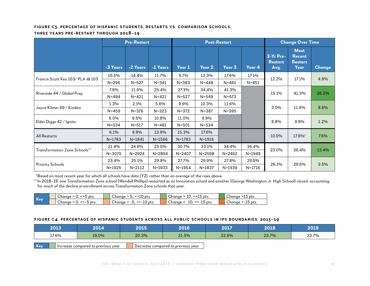#### **Figure C3. Percentage of Hispanic Students, Restarts vs. Comparison Schools,**

#### **Three Years Pre-Restart through 2018–19**

|                                      |            | <b>Pre-Restart</b> |            |            |            | <b>Post-Restart</b> |            |                                     | <b>Change Over Time</b>                                |               |
|--------------------------------------|------------|--------------------|------------|------------|------------|---------------------|------------|-------------------------------------|--------------------------------------------------------|---------------|
|                                      | -3 Years   | -2 Years           | -1 Years   | Year 1     | Year 2     | Year 3              | Year 4     | 3-Yr Pre-<br><b>Restart</b><br>Avg. | <b>Most</b><br><b>Recent</b><br><b>Restart</b><br>Year | <b>Change</b> |
|                                      | 10.5%      | 14.4%              | 11.7%      | 9.7%       | 12.3%      | 17.6%               | 17.1%      |                                     |                                                        |               |
| Francis Scott Key 103/ PLA @ 103     | $N = 296$  | $N = 527$          | $N = 341$  | $N = 383$  | $N = 448$  | $N = 461$           | $N = 451$  | 12.2%                               | 17.1%                                                  | 4.9%          |
|                                      | 7.9%       | 25.4%<br>11.9%     |            | 27.3%      | 34.4%      | 41.3%               |            |                                     |                                                        |               |
| Riverside 44 / Global Prep           | $N = 494$  | $N = 421$          | $N = 421$  | $N = 527$  | $N = 549$  | $N = 673$           |            | 15.1%                               | 41.3%                                                  | 26.2%         |
|                                      | 1.3%       | 2.1%               | 5.6%       | 9.9%       | 10.3%      | 11.6%               |            | 3.0%                                |                                                        |               |
| Joyce Kilmer 69 / Kindezi            | $N = 459$  | $N = 376$          | $N = 323$  | $N = 372$  | $N = 387$  | $N = 395$           |            |                                     | 11.6%                                                  | 8.6%          |
|                                      | $6.0\%$    | 9.5%               | 10.8%      | 11.0%      | 9.9%       |                     |            | 8.8%                                | 9.9%                                                   | 1.2%          |
| Elder Diggs 42 / Ignite              | $N = 534$  | $N = 517$          | $N = 481$  | $N = 501$  | $N = 534$  |                     |            |                                     |                                                        |               |
| <b>All Restarts</b>                  | 6.1%       | 9.9%               | 13.9%      | 15.3%      | 17.6%      |                     |            | 10.0%                               | 17.6%*                                                 | 7.6%          |
|                                      | $N = 1783$ | $N = 1841$         | $N = 1566$ | $N = 1783$ | $N = 1918$ |                     |            |                                     |                                                        |               |
|                                      | 21.4%      | 24.6%              | 23.0%      | 30.7%      | 33.1%      | 34.4%               | 36.4%      |                                     |                                                        |               |
| <b>Transformation Zone Schools**</b> | $N = 3070$ | $N = 2924$         | $N = 2894$ | $N = 2407$ | $N = 2598$ | $N = 2462$          | $N = 1949$ | 23.0%                               | 36.4%                                                  | 13.4%         |
|                                      | 23.4%      | 25.1%              | 29.8%      | 27.7%      | 29.9%      | 27.8%               | 29.6%      |                                     |                                                        |               |
| <b>Priority Schools</b>              | $N = 1925$ | $N = 2112$         | $N = 1933$ | $N = 1954$ | $N = 1837$ | $N = 1939$          | $N = 1716$ | 26.1%                               | 29.6%                                                  | 3.5%          |

\*Based on most recent year for which all schools have data (Y2), rather than an average of the rows above.

\*\*In 2018–19, one Transformation Zone school (Wendell Phillips) restarted as an Innovation school and another (George Washington Jr. High School) closed, accounting for much of the decline in enrollment across Transformation Zone schools that year.

|       | $\sim$<br>-- L<br>` pts.<br>Chanae<br>-- 1 | $\sim$<br>$\sim$<br><=10 pts.<br>⇔hanae          | $\overline{\phantom{a}}$<br>10.<br><=15 pts.<br>∪hanae | $\sim$<br>≅>⊥5 pts.<br>hanaeب |
|-------|--------------------------------------------|--------------------------------------------------|--------------------------------------------------------|-------------------------------|
| / Kew | $\sim$<br>$>=$ -5 pts.<br>Chanae           | $\sim$<br>$>= -10$<br>`pts.<br>⇔hanae<br>. J . J | ∽<br>$-10$<br>>=_<br>∘ pts.<br>∪hanae<br>$\sim$        | $\sim$<br><-15 pts.<br>hanaeب |

#### **Figure C4. Percentage of Hispanic Students Across all Public Schools in IPS Boundaries, 2013–19**

| 2013  | 2014                               |       | 2016                               | 2017  | 2018  | 2019  |
|-------|------------------------------------|-------|------------------------------------|-------|-------|-------|
| 17.6% | 19.0%                              | 20.3% | 21.5%                              | 22.6% | 23.7% | 23.7% |
| Key   | Increase compared to previous year |       | Decrease compared to previous year |       |       |       |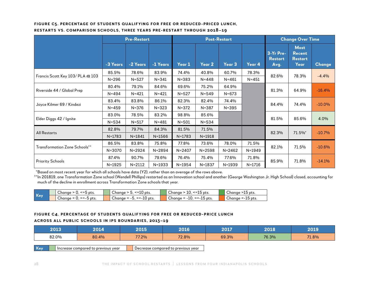#### **Figure C5. Percentage of Students Qualifying for Free or Reduced-Priced Lunch,**

| RESTARTS VS. COMPARISON SCHOOLS, THREE YEARS PRE-RESTART THROUGH 2018-19 |  |  |  |  |
|--------------------------------------------------------------------------|--|--|--|--|
|--------------------------------------------------------------------------|--|--|--|--|

|                                  |            | <b>Pre-Restart</b> |            |            |            | <b>Post-Restart</b> |            |                                     | <b>Change Over Time</b>                                |               |
|----------------------------------|------------|--------------------|------------|------------|------------|---------------------|------------|-------------------------------------|--------------------------------------------------------|---------------|
|                                  | -3 Years   | -2 Years           | -1 Years   | Year 1     | Year $2$   | Year <sub>3</sub>   | Year 4     | 3-Yr Pre-<br><b>Restart</b><br>Avg. | <b>Most</b><br><b>Recent</b><br><b>Restart</b><br>Year | <b>Change</b> |
|                                  | 85.5%      | 78.6%              | 83.9%      | 74.4%      | 40.8%      | 60.7%               | 78.3%      |                                     |                                                        |               |
| Francis Scott Key 103/ PLA @ 103 | $N = 296$  | $N = 527$          | $N = 341$  | $N = 383$  | $N = 448$  | $N = 461$           | $N = 451$  | 82.6%                               | 78.3%                                                  | $-4.4%$       |
|                                  | 80.4%      | 79.1%              | 84.6%      | 69.6%      | 75.2%      | 64.9%               |            |                                     |                                                        |               |
| Riverside 44 / Global Prep       | $N = 494$  | $N = 421$          | $N = 421$  | $N = 527$  | $N = 549$  | $N = 673$           |            | 81.3%                               | 64.9%                                                  | $-16.4%$      |
|                                  | 83.4%      | 83.8%              | 86.1%      | 82.3%      | 82.4%      | 74.4%               |            |                                     |                                                        |               |
| Joyce Kilmer 69 / Kindezi        | $N = 459$  | $N = 376$          | $N = 323$  | $N = 372$  | $N = 387$  | $N = 395$           |            | 84.4%                               | 74.4%                                                  | $-10.0%$      |
|                                  | 83.0%      | 78.5%              | 83.2%      | 98.8%      | 85.6%      |                     |            |                                     |                                                        |               |
| Elder Diggs 42 / Ignite          | $N = 534$  | $N = 517$          | $N = 481$  | $N = 501$  | $N = 534$  |                     |            | 81.5%                               | 85.6%                                                  | 4.0%          |
|                                  | 82.8%      | 79.7%              | 84.3%      | 81.5%      | 71.5%      |                     |            | 82.3%                               |                                                        |               |
| <b>All Restarts</b>              | $N = 1783$ | $N = 1841$         | $N = 1566$ | $N = 1783$ | $N = 1918$ |                     |            |                                     | 71.5%*                                                 | $-10.7%$      |
| Transformation Zone Schools**    | 86.5%      | 83.8%              | 75.8%      | 77.8%      | 73.6%      | 78.0%               | 71.5%      | 82.1%                               | 71.5%                                                  | $-10.6%$      |
|                                  | $N = 3070$ | $N = 2924$         | $N = 2894$ | $N = 2407$ | $N = 2598$ | $N = 2462$          | N=1949     |                                     |                                                        |               |
|                                  | 87.4%      | 90.7%              | 79.6%      | 76.4%      | 75.4%      | 77.6%               | 71.8%      | 85.9%                               | 71.8%                                                  | $-14.1%$      |
| <b>Priority Schools</b>          | $N = 1925$ | $N = 2112$         | $N = 1933$ | $N = 1954$ | $N = 1837$ | $N = 1939$          | $N = 1716$ |                                     |                                                        |               |

\*Based on most recent year for which all schools have data (Y2), rather than an average of the rows above.

\*\*In 201819, one Transformation Zone school (Wendell Phillips) restarted as an Innovation school and another (George Washington Jr. High School) closed, accounting for much of the decline in enrollment across Transformation Zone schools that year.

| - 17       | $\sim$<br>≅pts.<br>hanae ب                   | $\sim$<br>$\sim$<br>c=1<br>pts.<br>_ ∿nancr<br>⊥∪      | $\sim$<br>--<br>pts.<br>Change<br>. –<br>τv.<br>ື⊥ | $\sim$<br>15 pts.<br>Chanae  |
|------------|----------------------------------------------|--------------------------------------------------------|----------------------------------------------------|------------------------------|
| <b>Kev</b> | $\sim$<br>~-<br>.b pts<br>Chanae<br>---<br>ັ | $\sim$<br>$\sim$<br>ົ >=-1∪ <u>ພ</u><br>pts.<br>Chanae | $\sim$<br>~-<br>.15 pts.<br>Chanae<br>----<br>∸    | $\sim$<br>.15 pts.<br>Chanae |

#### **Figure C4. Percentage of Students Qualifying for Free or Reduced-Price Lunch**

#### **Across all Public Schools in IPS Boundaries, 2013–19**

|     | 2013<br>2014   |                                    | 2015  | 2016                                                    | 2017  | 2018  | 2019  |
|-----|----------------|------------------------------------|-------|---------------------------------------------------------|-------|-------|-------|
|     | 82.0%<br>80.4% |                                    | 77.2% | 72.8%                                                   | 69.3% | 76.3% | 71.8% |
| Key |                | Increase compared to previous year |       | $\blacktriangleleft$ Decrease compared to previous year |       |       |       |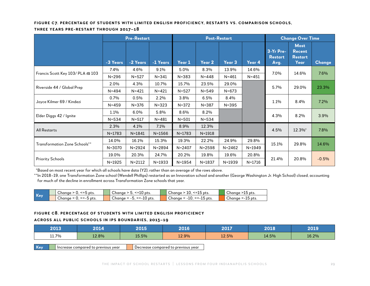#### **Figure C7. Percentage of Students with Limited English Proficiency, Restarts vs. Comparison Schools,**

#### **Three Years Pre-Restart through 2017–18**

|                                  |            | <b>Pre-Restart</b> |            | <b>Post-Restart</b> |            |            | <b>Change Over Time</b> |                                     |                                                        |               |
|----------------------------------|------------|--------------------|------------|---------------------|------------|------------|-------------------------|-------------------------------------|--------------------------------------------------------|---------------|
|                                  | -3 Years   | -2 Years           | -1 Years   | Year 1              | Year 2     | Year 3     | Year 4                  | 3-Yr Pre-<br><b>Restart</b><br>Avg. | <b>Most</b><br><b>Recent</b><br><b>Restart</b><br>Year | <b>Change</b> |
|                                  | $7.4\%$    | 4.6%               | 9.1%       | 5.0%                | 8.3%       | 13.9%      | 14.6%                   | 7.0%                                | 14.6%                                                  | 7.6%          |
| Francis Scott Key 103/ PLA @ 103 | $N = 296$  | $N = 527$          | $N = 341$  | $N = 383$           | $N = 448$  | $N = 461$  | $N = 451$               |                                     |                                                        |               |
|                                  | 2.0%       | 4.3%               | 10.7%      | 15.7%               | 23.5%      | 29.0%      |                         |                                     |                                                        |               |
| Riverside 44 / Global Prep       | $N = 494$  | $N = 421$          | $N = 421$  | $N = 527$           | $N = 549$  | $N = 673$  |                         | 5.7%                                | 29.0%                                                  | 23.3%         |
|                                  | 0.7%       | 0.5%               | 2.2%       | 3.8%                | 6.5%       | 8.4%       |                         |                                     | 8.4%                                                   |               |
| Joyce Kilmer 69 / Kindezi        | $N = 459$  | $N = 376$          | $N = 323$  | $N = 372$           | $N = 387$  | $N = 395$  |                         | 1.1%                                |                                                        | 7.2%          |
|                                  | 1.1%       | 6.0%               | 5.8%       | 8.6%                | 8.2%       |            |                         |                                     |                                                        |               |
| Elder Diggs 42 / Ignite          | $N = 534$  | $N = 517$          | $N = 481$  | $N = 501$           | $N = 534$  |            |                         | 4.3%                                | 8.2%                                                   | 3.9%          |
|                                  | 2.3%       | 4.1%               | 7.1%       | 8.9%                | 12.3%      |            |                         |                                     |                                                        |               |
| <b>All Restarts</b>              | $N = 1783$ | $N = 1841$         | $N = 1566$ | $N = 1783$          | $N = 1918$ |            |                         | 4.5%                                | 12.3%*                                                 | 7.8%          |
|                                  | 14.0%      | 16.1%              | 15.3%      | 19.3%               | 22.2%      | 24.9%      | 29.8%                   |                                     |                                                        |               |
| Transformation Zone Schools**    | $N = 3070$ | $N = 2924$         | $N = 2894$ | $N = 2407$          | $N = 2598$ | $N = 2462$ | $N = 1949$              | 15.1%                               | 29.8%                                                  | 14.6%         |
|                                  | 19.0%      | 20.3%              | 24.7%      | 20.2%               | 19.8%      | 19.6%      | 20.8%                   |                                     |                                                        |               |
| <b>Priority Schools</b>          | $N = 1925$ | $N = 2112$         | $N = 1933$ | N=1954              | $N = 1837$ | $N = 1939$ | $N = 1716$              | 21.4%                               | 20.8%                                                  | $-0.5%$       |

\*Based on most recent year for which all schools have data (Y2), rather than an average of the rows above.

\*\*In 2018–19, one Transformation Zone school (Wendell Phillips) restarted as an Innovation school and another (George Washington Jr. High School) closed, accounting for much of the decline in enrollment across Transformation Zone schools that year.

|            | $\sim$<br>pts.<br>-hanor ب                 | $\sim$<br>$\sim$<br>-- -<br>pts.<br>—∽nanc<br>. =<br>ึ⊥∪ | $\sim$<br>--<br>pts.<br>∪nanae<br>∸∽<br>∸          | $\sim$<br>.15 pts.<br>Chanae      |
|------------|--------------------------------------------|----------------------------------------------------------|----------------------------------------------------|-----------------------------------|
| <b>Kev</b> | $\sim$<br>~-<br>pts.<br>∪hana∈<br>---<br>ັ | $\sim$<br>$\sim$<br>~-<br>pts.<br>Chanae<br>.⊾ ∪⊥-≃∕     | $\sim$<br>~-<br>־pts.<br>Chanae<br>----<br>∸∽<br>∸ | $\sim$<br>'5 pts.<br>Chanae<br>⊥ບ |

#### **Figure C8. Percentage of Students with Limited English Proficiency**

#### **Across all Public Schools in IPS Boundaries, 2013–19**

| 2013  | 2014  | 2015  | 2016  | 2017  | 2018  | 2019  |
|-------|-------|-------|-------|-------|-------|-------|
| 11.7% | 12.8% | 15.5% | 12.9% | 12.5% | 14.5% | 16.2% |
|       |       |       |       |       |       |       |

**Key** Increase compared to previous year Decrease compared to previous year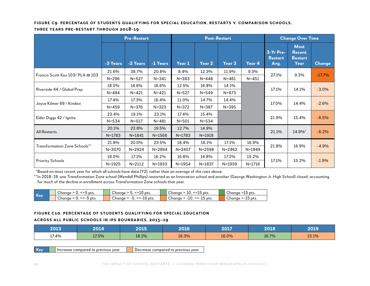#### **Figure C9. Percentage of Students Qualifying for Special Education, Restarts v. Comparison Schools,**

#### **Three Years Pre-Restart through 2018-19**

|                                      |            | <b>Pre-Restart</b> |            |            | <b>Post-Restart</b> |            |            | <b>Change Over Time</b>             |                                                        |          |
|--------------------------------------|------------|--------------------|------------|------------|---------------------|------------|------------|-------------------------------------|--------------------------------------------------------|----------|
|                                      | -3 Years   | -2 Years           | -1 Years   | Year 1     | Year 2              | Year 3     | Year 4     | 3-Yr Pre-<br><b>Restart</b><br>Avg. | <b>Most</b><br><b>Recent</b><br><b>Restart</b><br>Year | Change   |
| Francis Scott Key 103/ PLA @ 103     | 21.6%      | 38.7%              | 20.8%      | 8.4%       | 12.3%               | 11.9%      | 9.3%       | 27.1%                               | 9.3%                                                   | $-17.7%$ |
|                                      | $N = 296$  | $N = 527$          | $N = 341$  | $N = 383$  | $N = 448$           | $N = 461$  | $N = 451$  |                                     |                                                        |          |
|                                      | 18.0%      | 16.6%              | 16.6%      | 12.5%      | 16.8%               | 14.1%      |            | 17.1%                               |                                                        |          |
| Riverside 44 / Global Prep           | $N = 494$  | $N = 421$          | $N = 421$  | $N = 527$  | $N = 549$           | $N = 673$  |            |                                     | 14.1%                                                  | $-3.0%$  |
|                                      | 17.4%      | 17.3%              | 16.4%      | 11.0%      | 14.7%               | 14.4%      |            | 17.0%                               |                                                        |          |
| Joyce Kilmer 69 / Kindezi            | $N = 459$  | $N = 376$          | $N = 323$  | $N = 372$  | $N = 387$           | $N = 395$  |            |                                     | 14.4%                                                  | $-2.6%$  |
|                                      | 23.4%      | 19.1%              | 23.1%      | 17.4%      | 15.4%               |            |            |                                     |                                                        |          |
| Elder Diggs 42 / Ignite              | $N = 534$  | $N = 517$          | $N = 481$  | $N = 501$  | $N = 534$           |            |            | 21.9%                               | 15.4%                                                  | $-6.5%$  |
|                                      | 20.1%      | 23.8%              | 19.5%      | 12.7%      | 14.9%               |            |            |                                     |                                                        |          |
| <b>All Restarts</b>                  | $N = 1783$ | $N = 1841$         | $N = 1566$ | $N = 1783$ | $N = 1918$          |            |            | 21.1%                               | 14.9%*                                                 | $-6.2%$  |
|                                      | 21.8%      | 20.0%              | 23.5%      | 18.4%      | 18.1%               | 17.1%      | 16.9%      |                                     |                                                        |          |
| <b>Transformation Zone Schools**</b> | $N = 3070$ | $N = 2924$         | $N = 2894$ | $N = 2407$ | $N = 2598$          | $N = 2462$ | $N = 1949$ | 21.8%                               | 16.9%                                                  | $-4.9%$  |
|                                      | 18.0%      | 17.1%              | 16.2%      | 16.8%      | 14.8%               | 17.2%      | 15.2%      |                                     |                                                        |          |
| <b>Priority Schools</b>              | $N = 1925$ | $N = 2112$         | $N = 1933$ | $N = 1954$ | $N = 1837$          | $N = 1939$ | $N = 1716$ | 17.1%                               | 15.2%                                                  | $-1.9%$  |

\*Based on most recent year for which all schools have data (Y2), rather than an average of the rows above.

\*\*In 2018–19, one Transformation Zone school (Wendell Phillips) restarted as an Innovation school and another (George Washington Jr. High School) closed, accounting for much of the decline in enrollment across Transformation Zone schools that year.

|            | $\sim$<br>---<br>pts.<br>Chanae                          | $\sim$<br>$\sim$<br>-- 111<br>pts.<br>hanae<br>τU    | $\sim$<br><=<br>pts.<br>Chanae<br><b>TA</b><br>--             | $\sim$<br>pts.<br>Chanae<br>∸∽             |
|------------|----------------------------------------------------------|------------------------------------------------------|---------------------------------------------------------------|--------------------------------------------|
| <b>Kev</b> | $\overline{\phantom{0}}$<br>~-<br>pts.<br>Chanae<br>---- | $\sim$<br>. .<br>~-<br>`pts.<br>Chanae<br>----<br>∸∽ | $\overline{\phantom{0}}$<br>''>=_⊥<br>-15 pts.<br>∪hanae<br>∸ | $\sim$<br>15 pts.<br>Chanae<br><b>1-1-</b> |

#### **Figure C10. Percentage of Students Qualifying for Special Education**

#### **Across all Public Schools in IPS Boundaries, 2013–19**

| 2013  | 2014  | 2015  | 2016  | 2017  | 2018  | 2019  |
|-------|-------|-------|-------|-------|-------|-------|
| 17.4% | 17.5% | 18.1% | 16.3% | 16.0% | 16.7% | 15.1% |

Key **I** Increase compared to previous year **D** Decrease compared to previous year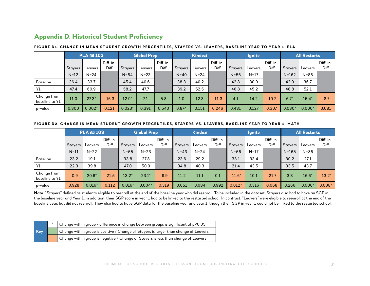# **Appendix D. Historical Student Proficiency**

|                               | PLA @ 103      |          |                  |                | <b>Global Prep</b> |                    |                  | <b>Kindezi</b> |                  |                | <b>Ignite</b> |                  |                | <b>All Restarts</b> |                  |  |
|-------------------------------|----------------|----------|------------------|----------------|--------------------|--------------------|------------------|----------------|------------------|----------------|---------------|------------------|----------------|---------------------|------------------|--|
|                               | <b>Stayers</b> | Leavers  | Diff-in-<br>Diff | <b>Stayers</b> | Leavers            | $Diff-in-$<br>Diff | <b>Stayers</b>   | Leavers        | Diff-in-<br>Diff | <b>Stayers</b> | Leavers       | Diff-in-<br>Diff | <b>Stayers</b> | Leavers             | Diff-in-<br>Diff |  |
|                               | $N=12$         | $N = 24$ |                  | $N = 54$       | $N=23$             |                    | $N=40$           | $N = 24$       |                  | $N = 56$       | $N=17$        |                  | $N = 162$      | $N = 88$            |                  |  |
| <b>Baseline</b>               | 36.4           | 33.7     |                  | 45.4           | 40.6               |                    | 38.3             | 40.2           |                  | 42.8           | 30.9          |                  | 42.0           | 36.7                |                  |  |
| Y1                            | 47.4           | 60.9     |                  | 58.2           | 47.7               |                    | 39.2             | 52.5           |                  | 46.8           | 45.2          |                  | 48.8           | 52.1                |                  |  |
| Change from<br>baseline to Y1 | 11.0           | $27.3*$  | $-16.3$          | $12.9*$        | 7.1                | 5.8                | 1.0 <sub>l</sub> | 12.3           | $-11.3$          | 4.1            | 14.2          | $-10.2$          | $6.7*$         | $15.4*$             | $-8.7$           |  |
| p-value                       | 0.300          | $0.002*$ | 0.121            | $0.023*$       | 0.391              | 0.540              | 0.874            | 0.151          | 0.246            | 0.431          | 0.127         | 0.307            | $0.030*$       | $0.000*$            | 0.081            |  |

#### **Figure D1. Change in Mean Student Growth Percentiles, Stayers vs. Leavers, Baseline Ye ar to Year 1, EL A**

#### FIGURE D2. CHANGE IN MEAN STUDENT GROWTH PERCENTILES, STAYERS VS. LEAVERS, BASELINE YEAR TO YEAR 1, MATH

|                               | PLA @ 103      |          |                  |                | <b>Global Prep</b> |                    |                | <b>Kindezi</b> |                    |                | <b>Ignite</b> |                    |                | <b>All Restarts</b> |                    |  |
|-------------------------------|----------------|----------|------------------|----------------|--------------------|--------------------|----------------|----------------|--------------------|----------------|---------------|--------------------|----------------|---------------------|--------------------|--|
|                               | <b>Stayers</b> | Leavers  | Diff-in-<br>Diff | <b>Stayers</b> | Leavers            | $Diff-in-$<br>Diff | <b>Stayers</b> | Leavers        | $Diff-in-$<br>Diff | <b>Stayers</b> | Leavers       | $Diff-in-$<br>Diff | <b>Stayers</b> | Leavers             | $Diff-in-$<br>Diff |  |
|                               | $N=11$         | $N=22$   |                  | $N = 55$       | $N=23$             |                    | $N = 43$       | $N=24$         |                    | $N = 56$       | $N=17$        |                    | $N = 165$      | $N = 86$            |                    |  |
| <b>Baseline</b>               | 23.2           | 19.1     |                  | 33.8           | 27.8               |                    | 23.6           | 29.2           |                    | 33.1           | 33.4          |                    | 30.2           | 27.1                |                    |  |
| Y1                            | 22.3           | 39.8     |                  | 47.0           | 50.9               |                    | 34.8           | 40.3           |                    | 21.4           | 43.5          |                    | 33.5           | 43.7                |                    |  |
| Change from<br>baseline to Y1 | $-0.9$         | $20.6*$  | $-21.5$          | $13.2*$        | $23.1*$            | $-9.9$             | 11.2           | 11.1           | 0.1                | $-11.6*$       | 10.1          | $-21.7$            | 3.3            | $16.6*$             | $-13.2*$           |  |
| p-value                       | 0.928          | $0.016*$ | 0.112            | $0.016*$       | $0.004*$           | 0.319              | 0.051          | 0.084          | 0.992              | $0.012*$       | 0.316         | 0.068              | 0.266          | $0.000*$            | $0.008*$           |  |

Note. "Stayers" defined as students eligible to reenroll at the end of the baseline year who did reenroll. To be included in the dataset, Stayers also had to have an SGP in the baseline year and Year 1. In addition, their SGP score in year 1 had to be linked to the restarted school. In contrast, "Leavers" were eligible to reenroll at the end of the baseline year, but did not reenroll. They also had to have SGP data for the baseline year and year 1, though their SGP in year 1 could not be linked to the restarted school.

|     | Change within group / difference in change between groups is significant at $p < 0.05$ |
|-----|----------------------------------------------------------------------------------------|
| Key | Change within group is positive / Change of Stayers is larger than change of Leavers   |
|     | Change within group is negative / Change of Stayers is less than change of Leavers     |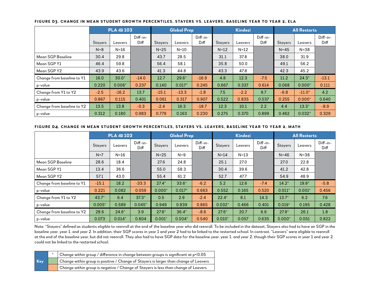|                            |                | PLA @ 103 |                  |                | <b>Global Prep</b> |                  |                | <b>Kindezi</b> |                    | <b>All Restarts</b> |          |                  |
|----------------------------|----------------|-----------|------------------|----------------|--------------------|------------------|----------------|----------------|--------------------|---------------------|----------|------------------|
|                            | <b>Stayers</b> | Leavers   | Diff-in-<br>Diff | <b>Stayers</b> | Leavers            | Diff-in-<br>Diff | <b>Stayers</b> | Leavers        | $Diff-in-$<br>Diff | <b>Stayers</b>      | Leavers  | Diff-in-<br>Diff |
|                            | $N = 8$        | $N=16$    |                  | $N=25$         | $N=10$             |                  | $N=12$         | $N=12$         |                    | $N = 45$            | $N = 38$ |                  |
| <b>Mean SGP Baseline</b>   | 30.4           | 29.8      |                  | 43.7           | 28.5               |                  | 31.1           | 37.8           |                    | 38.0                | 31.9     |                  |
| Mean SGP Y1                | 46.4           | 59.8      |                  | 56.4           | 58.1               |                  | 35.8           | 50.0           |                    | 49.1                | 56.2     |                  |
| Mean SGP Y2                | 43.9           | 43.6      |                  | 41.3           | 44.8               |                  | 43.3           | 47.8           |                    | 42.3                | 45.2     |                  |
| Change from baseline to Y1 | 16.0           | $30.0*$   | $-14.0$          | 12.7           | $29.6*$            | $-16.9$          | 4.8            | 12.3           | $-7.5$             | 11.2                | $24.3*$  | $-13.1$          |
| p-value                    | 0.220          | $0.006*$  | 0.237            | 0.140          | $0.017*$           | 0.245            | 0.667          | 0.337          | 0.614              | 0.068               | $0.000*$ | 0.111            |
| Change from Y1 to Y2       | $-2.5$         | $-16.2$   | 13.7             | $-15.1$        | $-13.3$            | $-1.8$           | 7.5            | $-2.2$         | 9.7                | $-6.8$              | $-11.0*$ | 4.2              |
| p-value                    | 0.867          | 0.115     | 0.401            | 0.061          | 0.317              | 0.907            | 0.522          | 0.835          | 0.537              | 0.255               | $0.000*$ | 0.640            |
| Change from baseline to Y2 | 13.5           | 13.8      | $-0.3$           | $-2.4$         | 16.3               | $-18.7$          | 12.3           | 10.1           | 2.2                | 4.4                 | $13.3*$  | $-8.9$           |
| ' p-value                  | 0.312          | 0.180     | 0.983            | 0.779          | 0.163              | 0.230            | 0.275          | 0.370          | 0.899              | 0.462               | $0.032*$ | 0.329            |

#### **Figure D3. Change in Mean Student Growth Percentiles, Stayers vs. Leavers, Baseline Year to Year 2, ELA**

#### **Figure D4. Change in Mean Student Growth Percentiles, Stayers vs. Leavers, Baseline Year to Year 2, Math**

|                            |                | PLA @ 103 |                                 |                | <b>Global Prep</b> |                  |                | Kindezi |                  | <b>All Restarts</b> |          |                  |
|----------------------------|----------------|-----------|---------------------------------|----------------|--------------------|------------------|----------------|---------|------------------|---------------------|----------|------------------|
|                            | <b>Stayers</b> | Leavers   | $Diff-in-$<br>Diff <sub>1</sub> | <b>Stayers</b> | Leavers            | Diff-in-<br>Diff | <b>Stayers</b> | Leavers | Diff-in-<br>Diff | <b>Stayers</b>      | Leavers  | Diff-in-<br>Diff |
|                            | $N=7$          | $N=16$    |                                 | $N=25$         | $N=9$              |                  | $N=14$         | $N=13$  |                  | $N = 46$            | $N = 38$ |                  |
| Mean SGP Baseline          | 28.6           | 18.4      |                                 | 27.6           | 24.8               |                  | 25.1           | 27.0    |                  | 27.0                | 22.8     |                  |
| Mean SGP Y1                | 13.4           | 36.6      |                                 | 55.0           | 58.3               |                  | 30.4           | 39.6    |                  | 41.2                | 42.8     |                  |
| Mean SGP Y2                | 57.1           | 43.0      |                                 | 55.4           | 61.2               |                  | 52.7           | 47.7    |                  | 54.9                | 48.9     |                  |
| Change from baseline to Y1 | $-15.1$        | 18.2      | $-33.3$                         | $27.4*$        | $33.6*$            | $-6.2$           | 5.2            | 12.6    | $-7.4$           | $14.2*$             | $19.9*$  | $-5.8$           |
| p-value                    | 0.221          | 0.082     | 0.059                           | $0.000*$       | $0.017*$           | 0.663            | 0.552          | 0.165   | 0.520            | $0.011*$            | $0.001*$ | 0.456            |
| Change from Y1 to Y2       | $43.7*$        | 6.4       | $37.3*$                         | 0.5            | 2.9                | $-2.4$           | $22.4*$        | 8.1     | 14.3             | $13.7*$             | 6.2      | 7.6              |
| p-value                    | $0.005*$       | 0.589     | $0.045*$                        | 0.949          | 0.839              | 0.865            | $0.032*$       | 0.466   | 0.401            | $0.019*$            | 0.195    | 0.428            |
| Change from baseline to Y2 | 28.6           | $24.6*$   | 3.9                             | $27.8*$        | $36.4*$            | $-8.6$           | $27.6*$        | 20.7    | 6.9              | $27.9*$             | 26.1     | 1.8              |
| p-value                    | 0.073          | $0.014*$  | 0.804                           | $0.001*$       | $0.004*$           | 0.540            | $0.010*$       | 0.057   | 0.635            | $0.000*$            | 0.051    | 0.822            |

Note. "Stayers" defined as students eligible to reenroll at the end of the baseline year who did reenroll. To be included in the dataset, Stayers also had to have an SGP in the baseline year, year 1, and year 2. In addition, their SGP scores in year 1 and year 2 had to be linked to the restarted school. In contrast, "Leavers" were eligible to reenroll at the end of the baseline year, but did not reenroll. They also had to have SGP data for the baseline year, year 1, and year 2, though their SGP scores in year 1 and year 2 could not be linked to the restarted school.

|     | $\vert$ Change within group / difference in change between groups is significant at p<0.05        |
|-----|---------------------------------------------------------------------------------------------------|
| Key | Change within group is positive / Change of Stayers is larger than change of Leavers              |
|     | $\blacksquare$ Change within group is negative / Change of Stayers is less than change of Leavers |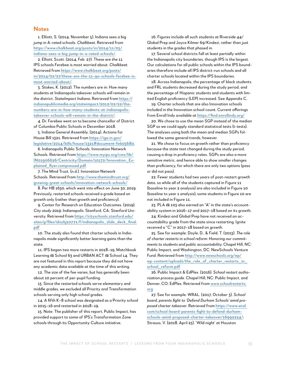#### **Notes**

1. Elliott, S. (2014, November 5). Indiana sees a big jump in A-rated schools. *Chalkbeat*. Retrieved from [https://www.chalkbeat.org/posts/in/2014/11/05/](https://www.chalkbeat.org/posts/in/2014/11/05/indiana-sees-a-big-jump-in-a-rated-schools/) [indiana-sees-a-big-jump-in-a-rated-schools/](https://www.chalkbeat.org/posts/in/2014/11/05/indiana-sees-a-big-jump-in-a-rated-schools/).

2. Elliott, Scott. (2014, Feb. 27). These are the 11 IPS schools Ferebee is most worried about. *Chalkbeat*. Retrieved from [https://www.chalkbeat.org/posts/](https://www.chalkbeat.org/posts/in/2014/02/27/these-are-the-11-ips-schools-ferebee-is-most-worried-about/) [in/2014/02/27/these-are-the-11-ips-schools-ferebee-is](https://www.chalkbeat.org/posts/in/2014/02/27/these-are-the-11-ips-schools-ferebee-is-most-worried-about/)[most-worried-about/](https://www.chalkbeat.org/posts/in/2014/02/27/these-are-the-11-ips-schools-ferebee-is-most-worried-about/).

3. Stokes, K. (2012). The numbers are in: How many students at Indianapolis takeover schools will remain in the district. *StateImpact Indiana*. Retrieved from [https://](https://indianapublicmedia.org/stateimpact/2012/02/22/the-numbers-are-in-how-many-students-at-indianapolis-takeover-schools-will-remain-in-the-district/) [indianapublicmedia.org/stateimpact/2012/02/22/the](https://indianapublicmedia.org/stateimpact/2012/02/22/the-numbers-are-in-how-many-students-at-indianapolis-takeover-schools-will-remain-in-the-district/)[numbers-are-in-how-many-students-at-indianapolis](https://indianapublicmedia.org/stateimpact/2012/02/22/the-numbers-are-in-how-many-students-at-indianapolis-takeover-schools-will-remain-in-the-district/)[takeover-schools-will-remain-in-the-district/](https://indianapublicmedia.org/stateimpact/2012/02/22/the-numbers-are-in-how-many-students-at-indianapolis-takeover-schools-will-remain-in-the-district/).

4. Dr. Ferebee went on to become chancellor of District of Columbia Public Schools in December 2018.

5. Indiana General Assembly. (2014). Actions for House Bill 1321. Retrieved from https://iga.in.gov/ legislative/2014/bills/house/1321#document-feb05680.

6. Indianapolis Public Schools. Innovation Network Schools. Retrieved from [https://www.myips.org/cms/lib/](https://www.myips.org/cms/lib/IN01906626/Centricity/Domain/10172/Innovation_Explained_flyer.compressed.pdf) [IN01906626/Centricity/Domain/10172/Innovation\\_Ex](https://www.myips.org/cms/lib/IN01906626/Centricity/Domain/10172/Innovation_Explained_flyer.compressed.pdf)[plained\\_flyer.compressed.pdf](https://www.myips.org/cms/lib/IN01906626/Centricity/Domain/10172/Innovation_Explained_flyer.compressed.pdf).

7. The Mind Trust. (n.d.). Innovation Network Schools. Retrieved from [http://www.themindtrust.org/](http://www.themindtrust.org/growing-great-schools/innovation-network-schools/) [growing-great-schools/innovation-network-schools/](http://www.themindtrust.org/growing-great-schools/innovation-network-schools/)

8. Per HB 1630, which went into effect on June 30, 2019. Previously, restarted schools received a grade based on growth only (rather than growth *and* proficiency).

9. Center for Research on Education Outcomes. (2019). *City study 2019: Indianapolis*. Stanford, CA: Stanford University. Retrieved from [https://cityschools.stanford.edu/](https://cityschools.stanford.edu/sites/g/files/sbiybj10771/f/indianapolis_slide_deck_final.pdf) [sites/g/files/sbiybj10771/f/indianapolis\\_slide\\_deck\\_final.](https://cityschools.stanford.edu/sites/g/files/sbiybj10771/f/indianapolis_slide_deck_final.pdf) [pdf](https://cityschools.stanford.edu/sites/g/files/sbiybj10771/f/indianapolis_slide_deck_final.pdf)

10. The study also found that charter schools in Indianapolis made significantly better learning gains than the state.

11. IPS began two more restarts in 2018–19, Matchbook Learning @ School 63 and URBAN ACT @ School 14. They are not featured in this report because they did not have any academic data available at the time of this writing.

12. The size of the fee varies, but has generally been about 10 percent of per-pupil funding.

13. Since the restarted schools serve elementary and middle grades, we excluded all Priority and Transformation schools serving only high school grades.

14. A fifth K–8 school was designated as a Priority school in 2015–16 and restarted in 2018–19.

15. Note: The publisher of this report, Public Impact, has provided support to some of IPS's Transformation Zone schools through its Opportunity Culture initiative.

16. Figures include all such students at Riverside 44/ Global Prep and Joyce Kilmer 69/Kindezi, rather than just students in the grades that phased in.

17. Several school districts fall at least partially within the Indianapolis city boundaries, though IPS is the largest. Our calculations for all public schools within the IPS boundaries therefore include all IPS district-run schools and all charter schools located within the IPS boundaries.

18. Across Indianapolis, the percentage of black students and FRL students decreased during the study period, and the percentage of Hispanic students and students with limited English proficiency (LEP) increased. See Appendix C.

19. Charter schools that are also Innovation schools included in the Innovation school count. Current offerings from Enroll Indy available at <https://find.enrollindy.org/>

20. We chose to use the mean SGP instead of the median SGP so we could apply standard statistical tests (t-tests). The analyses using both the mean and median SGPs followed the same general trends, however.

21. We chose to focus on growth rather than proficiency because the state test changed during the study period, causing a drop in proficiency rates. SGPs are also a more sensitive metric, and hence able to show smaller changes than proficiency, for which there are only two options (pass or did not pass).

22. Fewer students had two years of post-restart growth data, so while all of the students captured in Figure 11 (baseline to year 2 analysis) are also included in Figure 10 (baseline to year 1 analysis), some students in Figure 10 are not included in Figure 11.

23. PLA @ 103 also earned an "A" in the state's accountability system in 2016–17 and 2017–18 based on its growth.

24. Kindezi and Global Prep have not received an accountability grade from the state since restarting. Ignite received a "C" in 2017–18 based on growth.

25. See for example: Doyle, D., & Field, T. (2013). *The role of charter restarts in school reform: Honoring our commitments to students and public accountability*. Chapel Hill, NC: Public Impact, and Washington, DC: NewSchools Venture Fund. Retrieved from [http://www.newschools.org/wp/](http://www.newschools.org/wp/wp-content/uploads/the_role_of_charter_restarts_in_school_reform.pdf) [wp-content/uploads/the\\_role\\_of\\_charter\\_restarts\\_in\\_](http://www.newschools.org/wp/wp-content/uploads/the_role_of_charter_restarts_in_school_reform.pdf) [school\\_reform.pdf](http://www.newschools.org/wp/wp-content/uploads/the_role_of_charter_restarts_in_school_reform.pdf)

26. Public Impact & EdPlex. (2016). *School restart authorization process guide.* Chapel Hill, NC: Public Impact, and Denver, CO: EdPlex. Retrieved from [www.schoolrestarts.](http://www.schoolrestarts.org) [org](http://www.schoolrestarts.org)

27. See for example: WRAL. (2017, October 3). *School board, parents fight to 'Defend Durham Schools' amid proposed charter takeover.* Retrieved from [https://www.wral.](https://www.wral.com/school-board-parents-fight-to-defend-durham-schools-amid-proposed-charter-takeover/16992224/) [com/school-board-parents-fight-to-defend-durham](https://www.wral.com/school-board-parents-fight-to-defend-durham-schools-amid-proposed-charter-takeover/16992224/)[schools-amid-proposed-charter-takeover/16992224/](https://www.wral.com/school-board-parents-fight-to-defend-durham-schools-amid-proposed-charter-takeover/16992224/); Strauss, V. (2018, April 25). 'Wild night' at Houston